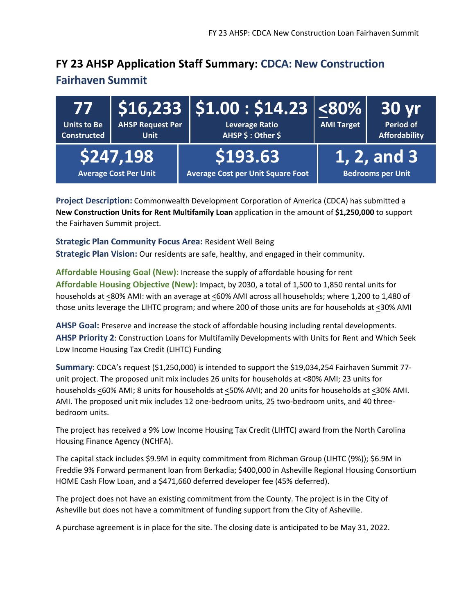### **FY 23 AHSP Application Staff Summary: CDCA: New Construction**

#### **Fairhaven Summit**

| 77<br>Units to Be<br><b>Constructed</b> | <b>AHSP Request Per</b><br><b>Unit</b>    | $\mid$ \$16,233 $\mid$ \$1.00 : \$14.23 $\mid$ <80% $\mid$<br><b>Leverage Ratio</b><br>AHSP \$: Other \$ | <b>AMI Target</b> | 30 yr<br><b>Period of</b><br><b>Affordability</b> |
|-----------------------------------------|-------------------------------------------|----------------------------------------------------------------------------------------------------------|-------------------|---------------------------------------------------|
|                                         | \$247,198<br><b>Average Cost Per Unit</b> | \$193.63<br><b>Average Cost per Unit Square Foot</b>                                                     |                   | 1, 2, and 3<br><b>Bedrooms per Unit</b>           |

**Project Description:** Commonwealth Development Corporation of America (CDCA) has submitted a **New Construction Units for Rent Multifamily Loan** application in the amount of **\$1,250,000** to support the Fairhaven Summit project.

**Strategic Plan Community Focus Area:** Resident Well Being **Strategic Plan Vision:** Our residents are safe, healthy, and engaged in their community.

**Affordable Housing Goal (New):** Increase the supply of affordable housing for rent **Affordable Housing Objective (New):** Impact, by 2030, a total of 1,500 to 1,850 rental units for households at <80% AMI: with an average at <60% AMI across all households; where 1,200 to 1,480 of those units leverage the LIHTC program; and where 200 of those units are for households at <30% AMI

**AHSP Goal:** Preserve and increase the stock of affordable housing including rental developments. **AHSP Priority 2**: Construction Loans for Multifamily Developments with Units for Rent and Which Seek Low Income Housing Tax Credit (LIHTC) Funding

**Summary**: CDCA's request (\$1,250,000) is intended to support the \$19,034,254 Fairhaven Summit 77 unit project. The proposed unit mix includes 26 units for households at <80% AMI; 23 units for households <60% AMI; 8 units for households at <50% AMI; and 20 units for households at <30% AMI. AMI. The proposed unit mix includes 12 one-bedroom units, 25 two-bedroom units, and 40 threebedroom units.

The project has received a 9% Low Income Housing Tax Credit (LIHTC) award from the North Carolina Housing Finance Agency (NCHFA).

The capital stack includes \$9.9M in equity commitment from Richman Group (LIHTC (9%)); \$6.9M in Freddie 9% Forward permanent loan from Berkadia; \$400,000 in Asheville Regional Housing Consortium HOME Cash Flow Loan, and a \$471,660 deferred developer fee (45% deferred).

The project does not have an existing commitment from the County. The project is in the City of Asheville but does not have a commitment of funding support from the City of Asheville.

A purchase agreement is in place for the site. The closing date is anticipated to be May 31, 2022.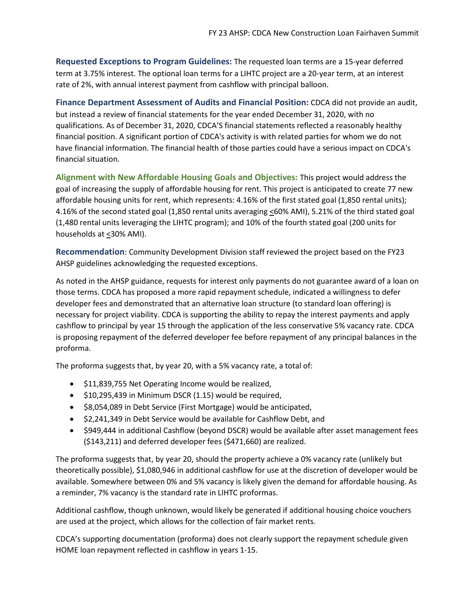**Requested Exceptions to Program Guidelines:** The requested loan terms are a 15-year deferred term at 3.75% interest. The optional loan terms for a LIHTC project are a 20-year term, at an interest rate of 2%, with annual interest payment from cashflow with principal balloon.

**Finance Department Assessment of Audits and Financial Position:** CDCA did not provide an audit, but instead a review of financial statements for the year ended December 31, 2020, with no qualifications. As of December 31, 2020, CDCA'S financial statements reflected a reasonably healthy financial position. A significant portion of CDCA's activity is with related parties for whom we do not have financial information. The financial health of those parties could have a serious impact on CDCA's financial situation.

**Alignment with New Affordable Housing Goals and Objectives:** This project would address the goal of increasing the supply of affordable housing for rent. This project is anticipated to create 77 new affordable housing units for rent, which represents: 4.16% of the first stated goal (1,850 rental units); 4.16% of the second stated goal (1,850 rental units averaging <60% AMI), 5.21% of the third stated goal (1,480 rental units leveraging the LIHTC program); and 10% of the fourth stated goal (200 units for households at <30% AMI).

**Recommendation**: Community Development Division staff reviewed the project based on the FY23 AHSP guidelines acknowledging the requested exceptions.

As noted in the AHSP guidance, requests for interest only payments do not guarantee award of a loan on those terms. CDCA has proposed a more rapid repayment schedule, indicated a willingness to defer developer fees and demonstrated that an alternative loan structure (to standard loan offering) is necessary for project viability. CDCA is supporting the ability to repay the interest payments and apply cashflow to principal by year 15 through the application of the less conservative 5% vacancy rate. CDCA is proposing repayment of the deferred developer fee before repayment of any principal balances in the proforma.

The proforma suggests that, by year 20, with a 5% vacancy rate, a total of:

- \$11,839,755 Net Operating Income would be realized,
- \$10,295,439 in Minimum DSCR (1.15) would be required,
- \$8,054,089 in Debt Service (First Mortgage) would be anticipated,
- \$2,241,349 in Debt Service would be available for Cashflow Debt, and
- \$949,444 in additional Cashflow (beyond DSCR) would be available after asset management fees (\$143,211) and deferred developer fees (\$471,660) are realized.

The proforma suggests that, by year 20, should the property achieve a 0% vacancy rate (unlikely but theoretically possible), \$1,080,946 in additional cashflow for use at the discretion of developer would be available. Somewhere between 0% and 5% vacancy is likely given the demand for affordable housing. As a reminder, 7% vacancy is the standard rate in LIHTC proformas.

Additional cashflow, though unknown, would likely be generated if additional housing choice vouchers are used at the project, which allows for the collection of fair market rents.

CDCA's supporting documentation (proforma) does not clearly support the repayment schedule given HOME loan repayment reflected in cashflow in years 1-15.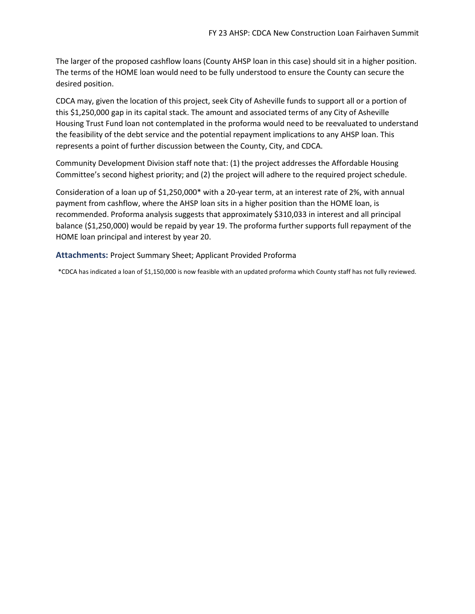The larger of the proposed cashflow loans (County AHSP loan in this case) should sit in a higher position. The terms of the HOME loan would need to be fully understood to ensure the County can secure the desired position.

CDCA may, given the location of this project, seek City of Asheville funds to support all or a portion of this \$1,250,000 gap in its capital stack. The amount and associated terms of any City of Asheville Housing Trust Fund loan not contemplated in the proforma would need to be reevaluated to understand the feasibility of the debt service and the potential repayment implications to any AHSP loan. This represents a point of further discussion between the County, City, and CDCA.

Community Development Division staff note that: (1) the project addresses the Affordable Housing Committee's second highest priority; and (2) the project will adhere to the required project schedule.

Consideration of a loan up of \$1,250,000\* with a 20-year term, at an interest rate of 2%, with annual payment from cashflow, where the AHSP loan sits in a higher position than the HOME loan, is recommended. Proforma analysis suggests that approximately \$310,033 in interest and all principal balance (\$1,250,000) would be repaid by year 19. The proforma further supports full repayment of the HOME loan principal and interest by year 20.

**Attachments:** Project Summary Sheet; Applicant Provided Proforma

\*CDCA has indicated a loan of \$1,150,000 is now feasible with an updated proforma which County staff has not fully reviewed.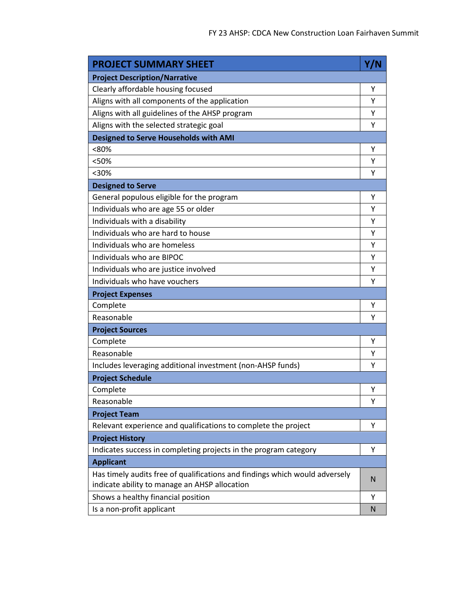| <b>PROJECT SUMMARY SHEET</b>                                                                                                 | Y/N |
|------------------------------------------------------------------------------------------------------------------------------|-----|
| <b>Project Description/Narrative</b>                                                                                         |     |
| Clearly affordable housing focused                                                                                           | Υ   |
| Aligns with all components of the application                                                                                | Υ   |
| Aligns with all guidelines of the AHSP program                                                                               | Υ   |
| Aligns with the selected strategic goal                                                                                      | Υ   |
| <b>Designed to Serve Households with AMI</b>                                                                                 |     |
| <80%                                                                                                                         | Υ   |
| <50%                                                                                                                         | Υ   |
| $30%$                                                                                                                        | Υ   |
| <b>Designed to Serve</b>                                                                                                     |     |
| General populous eligible for the program                                                                                    | Υ   |
| Individuals who are age 55 or older                                                                                          | Υ   |
| Individuals with a disability                                                                                                | Υ   |
| Individuals who are hard to house                                                                                            | Υ   |
| Individuals who are homeless                                                                                                 | Υ   |
| Individuals who are BIPOC                                                                                                    | Υ   |
| Individuals who are justice involved                                                                                         | Υ   |
| Individuals who have vouchers                                                                                                | Υ   |
| <b>Project Expenses</b>                                                                                                      |     |
| Complete                                                                                                                     | Υ   |
| Reasonable                                                                                                                   | Υ   |
| <b>Project Sources</b>                                                                                                       |     |
| Complete                                                                                                                     | Υ   |
| Reasonable                                                                                                                   | Υ   |
| Includes leveraging additional investment (non-AHSP funds)                                                                   | Υ   |
| <b>Project Schedule</b>                                                                                                      |     |
| Complete                                                                                                                     | Υ   |
| Reasonable                                                                                                                   | Υ   |
| <b>Project Team</b>                                                                                                          |     |
| Relevant experience and qualifications to complete the project                                                               | Υ   |
| <b>Project History</b>                                                                                                       |     |
| Indicates success in completing projects in the program category                                                             | Υ   |
| <b>Applicant</b>                                                                                                             |     |
| Has timely audits free of qualifications and findings which would adversely<br>indicate ability to manage an AHSP allocation | N   |
| Shows a healthy financial position                                                                                           | Υ   |
| Is a non-profit applicant                                                                                                    | N   |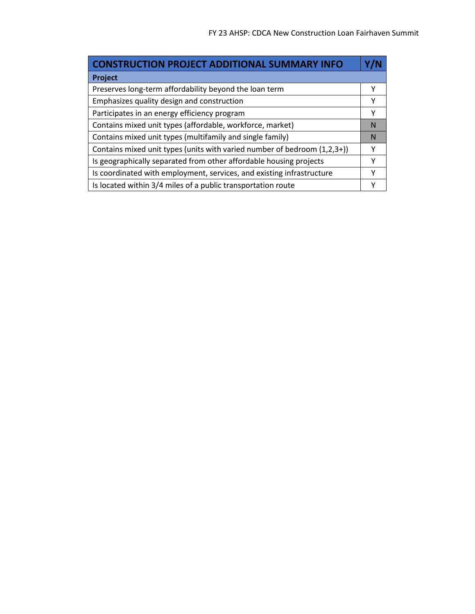ä,

| <b>CONSTRUCTION PROJECT ADDITIONAL SUMMARY INFO</b>                      |   |
|--------------------------------------------------------------------------|---|
| Project                                                                  |   |
| Preserves long-term affordability beyond the loan term                   | Υ |
| Emphasizes quality design and construction                               | Υ |
| Participates in an energy efficiency program                             | Υ |
| Contains mixed unit types (affordable, workforce, market)                | N |
| Contains mixed unit types (multifamily and single family)                | N |
| Contains mixed unit types (units with varied number of bedroom (1,2,3+)) | Υ |
| Is geographically separated from other affordable housing projects       | γ |
| Is coordinated with employment, services, and existing infrastructure    | Υ |
| Is located within 3/4 miles of a public transportation route             |   |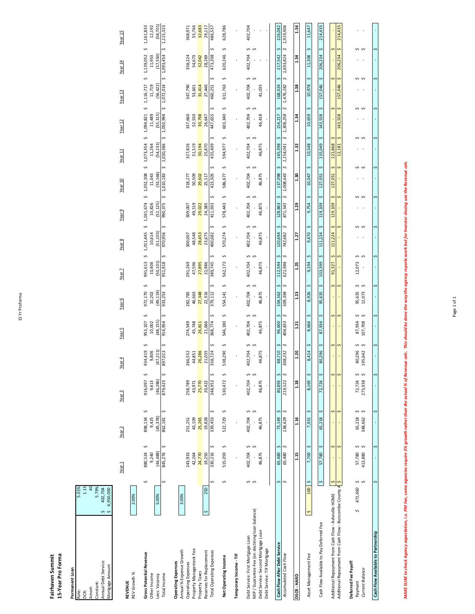| í |
|---|
|   |
| ٠ |
|   |
|   |

# Fairhaven Summit<br>15-Year Pro Forma **Fairhaven Summit**

**15-Year Pro Forma Permanent Loan**<br>Rate:<br>DCR:

**Permanent Loan**

|                                                                                                                                                                             | Year 15<br>Year 14<br>Year 13<br>Year <sub>12</sub> | (58, 701)<br>12,192<br>1,115,323<br>1,161,833<br>n<br>S<br>1,093,454<br>(57, 550)<br>1,139,052<br>11,953<br>s<br>s<br>1,072,014<br>(56, 422)<br>11,719<br>1,116,717<br>n<br>s<br>\$1,050,994<br>(55, 315)<br>1,094,821<br>11,489<br>$\hat{\mathbf{v}}$<br>1,030,386<br>(54, 231)<br>11,264 | 55,766<br>32,683<br>368,971<br>29,117<br>32,042<br>358,224<br>54,673<br>28,269<br>347,790<br>31,414<br>27,446<br>53,601<br>52,550<br>30,798<br>337,660<br>26,647<br>327,826<br>51,519<br>30,194<br>25,870 | 628,786<br>486,537<br>S<br>Ş<br>620,246<br>473,208<br>Ş<br>S<br>611,763<br>460,251<br>Ş<br>S<br>603,340<br>447,655<br>S<br>S<br>435,409<br>594,977 | ï                      | 402,704<br>$\blacksquare$<br>$\overline{\phantom{a}}$<br>\$<br>402,704<br>$\blacksquare$<br>\$<br>402,704<br>41,035<br>Ş<br>402,704<br>46,418<br>Ş<br>S<br>402,704<br>46,875 | 226,082<br>1,919,906<br>Š,<br>S<br>1,693,824<br>217,542<br>n<br>Ş<br>1,476,282<br>168,024<br>n<br>\$<br>1,308,258<br>154,217<br>$\sim$<br>S<br>145,398 | 1.56<br>1.54<br>1.38<br>1.34<br>1.32 | 11,647<br>S<br>11,308<br>S<br>10,978<br>S<br>10,659<br>s<br>10,348 | 214,435<br>S<br>206,234<br>s<br>157,046<br>s<br>143,558<br>S<br>135,049 | 214,435<br>n<br>S<br>206,234<br>Ş<br>S,<br>157,046<br>S<br>S<br>143.558<br>S<br>S<br>122,868<br>12.181               | í.<br>s s<br>s s<br>s s<br>$\blacksquare$<br>٠<br>s s<br>$\,$<br>٠        | ∽<br>S                                  |
|-----------------------------------------------------------------------------------------------------------------------------------------------------------------------------|-----------------------------------------------------|--------------------------------------------------------------------------------------------------------------------------------------------------------------------------------------------------------------------------------------------------------------------------------------------|-----------------------------------------------------------------------------------------------------------------------------------------------------------------------------------------------------------|----------------------------------------------------------------------------------------------------------------------------------------------------|------------------------|------------------------------------------------------------------------------------------------------------------------------------------------------------------------------|--------------------------------------------------------------------------------------------------------------------------------------------------------|--------------------------------------|--------------------------------------------------------------------|-------------------------------------------------------------------------|----------------------------------------------------------------------------------------------------------------------|---------------------------------------------------------------------------|-----------------------------------------|
|                                                                                                                                                                             | Year <sub>11</sub><br>Year 10<br>Year <sub>9</sub>  | 1,073,354<br>s<br>s,<br>1,010,183<br>1,052,308<br>(53, 168)<br>11,043<br>s<br>S<br>990,375<br>1,031,674<br>(52, 125)<br>10,826                                                                                                                                                             | 50,509<br>29,602<br>318,277<br>25,117<br>49,519<br>29,022<br>24,385<br>309,007                                                                                                                            | S<br>Ş<br>423,505<br>586,677<br>S<br>Ş<br>578,443<br>411,933                                                                                       |                        | Ş<br>Ś<br>402,704<br>46,875<br>Ş<br>$\sim$<br>402,704<br>46,875                                                                                                              | 1,154,041<br>n<br>\$<br>1,008,643<br>137,098<br>n<br>\$<br>871,545<br>128,863                                                                          | 1.30<br>1.29                         | S<br>10,047<br>s<br>9,754                                          | Ş<br>127,051<br>S<br>119,109                                            | S<br>S<br>127,051<br>Ş<br>S<br>119,109                                                                               | s<br>S<br>s s<br>$\blacksquare$<br>٠                                      | S<br>S                                  |
|                                                                                                                                                                             | Year <sub>8</sub><br>Year 7                         | s<br>S<br>970,956<br>(51, 103)<br>1,011,445<br>10,614<br>S<br>S<br>951,918<br>991,613<br>(50, 101)<br>10,406                                                                                                                                                                               | 48,548<br>28,453<br>300,007<br>23,675<br>47,596<br>27,895<br>291,269<br>22,986                                                                                                                            | S<br>S<br>570,274<br>400,682<br>Ş<br>S<br>389,745<br>562,173                                                                                       |                        | Ş<br>$\mathbf{v}$<br>402,704<br>46,875<br>Ş<br>402,704<br>46,875                                                                                                             | S<br>\$<br>742,682<br>120,694<br>S<br>n<br>112,594<br>621,988                                                                                          | 1.27<br>1.25                         | s<br>9,470<br>s<br>9,194                                           | s<br>111,224<br>s<br>103,399                                            | Ş<br>S<br>111,224<br>Ş<br>S<br>91,327                                                                                | s s<br>$\mathbf{I}$<br>Ş<br>$\hat{\zeta}$<br>12,073<br>$\,$               | S                                       |
|                                                                                                                                                                             | Year 6<br>Year <sub>5</sub>                         | s<br>Ş<br>933,253<br>972,170<br>(49, 119)<br>10,202<br>S<br>S<br>914,954<br>953,107<br>(48, 155)<br>10,002                                                                                                                                                                                 | 27,348<br>46,663<br>22,316<br>282,785<br>45,748<br>274,549<br>26,811<br>21,666                                                                                                                            | Ş<br>s<br>379,112<br>554,141<br>S<br>S<br>546,180<br>368,774                                                                                       |                        | Ş<br>Ś<br>402,704<br>46,875<br>Ş<br>402,704<br>46,875                                                                                                                        | \$<br>S<br>509,394<br>104,562<br>Ş<br>n<br>404,833<br>96,600                                                                                           | 1.23<br>1.21                         | S<br>8,926<br>Ş<br>8,666                                           | s<br>95,635<br>s<br>87,934                                              | s<br>$\overline{S}$<br>s<br>S                                                                                        | s<br>S<br>95,635<br>12,073<br>s<br>S<br>87,934<br>107,708                 | ∽                                       |
|                                                                                                                                                                             | Year <sub>4</sub><br>Year <sub>3</sub>              | S<br>S<br>934,419<br>897,013<br>9,806<br>47,211<br>Ş<br>S<br>879,425<br>(46, 286)<br>916,097<br>9,613                                                                                                                                                                                      | 26,286<br>266,552<br>21,035<br>44,851<br>258,789<br>25,770<br>43,971<br>20,422                                                                                                                            | S<br>Ş<br>358,724<br>538,290<br>S<br>Ş<br>530,472<br>348,952                                                                                       |                        | s<br>S<br>402,704<br>46,875<br>Ş<br>$\sim$<br>402,704<br>46,875                                                                                                              | n<br>\$<br>88,710<br>308,232<br>\$<br>s,<br>219,522<br>80,893                                                                                          | 1.20<br>1.18                         | s<br>8,414<br>Ş<br>8,169                                           | s<br>80,296<br>S<br>72,724                                              | S<br>Ś<br>s<br>S                                                                                                     | s<br>S<br>80,296<br>195,642<br>s<br>S<br>275,938<br>72,724                | S<br>S                                  |
|                                                                                                                                                                             | Year <sub>2</sub><br>Year <sub>1</sub>              | S<br>S<br>862,181<br>898,134<br>(45, 378)<br>9,425<br>Ş<br>S<br>845,276<br>(44, 488)<br>880,524<br>9,240                                                                                                                                                                                   | 25,265<br>43,109<br>19,828<br>251,251<br>243,933<br>24,770<br>42,264<br>19,250                                                                                                                            | S<br>Ş<br>339,453<br>522,729<br>Ş<br>S<br>330,216<br>515,059                                                                                       |                        | Ş<br>$\mathbf{v}$<br>402,704<br>46,875<br>Ş<br>$\sim$<br>402,704<br>46,875                                                                                                   | \$<br>n<br>138,629<br>73,149<br>S<br>\$<br>65,480<br>65,480                                                                                            | 1.16<br>1.15                         | S<br>7,931<br>S<br>7,700                                           | s<br>65,218<br>s<br>57,780                                              | s<br>S<br>S<br>S                                                                                                     | s<br>S<br>65,218<br>348,662<br>s<br>S<br>57,780<br>413,880                | S<br>S                                  |
| 5.01%<br>1.15<br>$\overline{a}$<br>5.79%<br>402,704<br>6,950,000<br>\$<br>$\overline{S}$<br>Annual Debt Service:<br>Mortgage Amount<br>Constant:<br>Amort:<br>Rate:<br>DCR: | 2.00%<br>REV Growth %<br><b>REVENUE</b>             | S<br>S<br>5.00%<br><b>Gross Potential Revenue</b><br>Other Income<br>Total Income<br>Less: Vacancy                                                                                                                                                                                         | 250<br>3.00%<br>s<br>Property Management Fee<br>Annual % Expense Growth<br>Reserves for Replacement<br><b>Operating Expenses</b><br>Operating Expenses<br>Property Taxes                                  | S<br>S<br><b>Total Operating Expenses</b><br>Net Operating Income                                                                                  | Temporary Income - TIF | s<br>S<br>MIP / Guarantee Fee (on declining loan balance)<br>Debt Service: Second Mortgage Loan<br>Debt Service: First Mortgage Loan<br>Debt Service: TIF Mortgage           | s<br>s<br>Cash Flow After Debt Service<br>Accumulated Cash Flow                                                                                        | <b>DSCR-HARD</b>                     | s<br>100<br>S<br>Asset Management Fee                              | Ş<br>Cash Flow Available to Pay Deferred Fee                            | Additional Repayment from Cash Flow - Buncombe County A<br>S<br>Additional Repayment from Cash Flow - Asheville HOME | s s<br>471,660<br>S,<br>Deferred Fee Payoff<br>Current Balance<br>Payment | S<br>Cash Flow Available to Partnership |

MAKE SURE to check Agency expectation, i.e. PM Fee, some agencies require 3% growth rather than the actual % of Revenue calc. This should be done the way the agency reports work but for investor closing use the Revenue cal MAKE SURE to check Agency expectation, i.e. PM Fee, some ogencies require 3% growth rather than the wald colo. This should be done the way the agency reports work but for Investor closing use the Revenue calc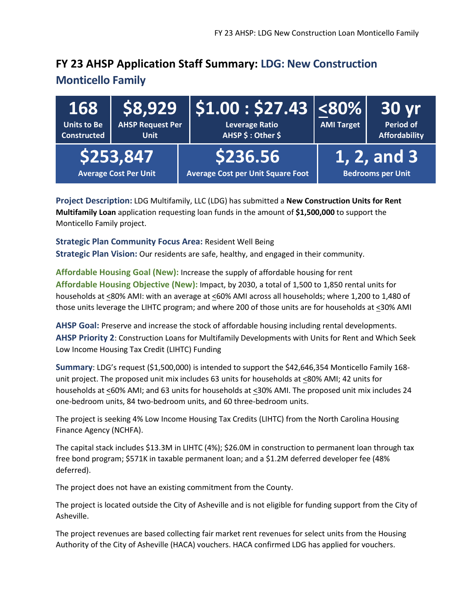## **FY 23 AHSP Application Staff Summary: LDG: New Construction**

#### **Monticello Family**

| 168<br>Units to Be<br><b>Constructed</b> | <b>AHSP Request Per</b><br><b>Unit</b>    | $\mid$ \$8,929 $\mid$ \$1.00 : \$27.43 $\mid$ <80% $\mid$<br><b>Leverage Ratio</b><br>AHSP \$ : Other \$ | <b>AMI Target</b> | <b>30 yr</b><br><b>Period of</b><br><b>Affordability</b> |
|------------------------------------------|-------------------------------------------|----------------------------------------------------------------------------------------------------------|-------------------|----------------------------------------------------------|
|                                          | \$253,847<br><b>Average Cost Per Unit</b> | \$236.56<br>Average Cost per Unit Square Foot                                                            |                   | $1, 2,$ and 3<br><b>Bedrooms per Unit</b>                |

**Project Description:** LDG Multifamily, LLC (LDG) has submitted a **New Construction Units for Rent Multifamily Loan** application requesting loan funds in the amount of **\$1,500,000** to support the Monticello Family project.

**Strategic Plan Community Focus Area:** Resident Well Being **Strategic Plan Vision:** Our residents are safe, healthy, and engaged in their community.

**Affordable Housing Goal (New):** Increase the supply of affordable housing for rent **Affordable Housing Objective (New):** Impact, by 2030, a total of 1,500 to 1,850 rental units for households at <80% AMI: with an average at <60% AMI across all households; where 1,200 to 1,480 of those units leverage the LIHTC program; and where 200 of those units are for households at <30% AMI

**AHSP Goal:** Preserve and increase the stock of affordable housing including rental developments. **AHSP Priority 2**: Construction Loans for Multifamily Developments with Units for Rent and Which Seek Low Income Housing Tax Credit (LIHTC) Funding

**Summary**: LDG's request (\$1,500,000) is intended to support the \$42,646,354 Monticello Family 168 unit project. The proposed unit mix includes 63 units for households at <80% AMI; 42 units for households at <60% AMI; and 63 units for households at <30% AMI. The proposed unit mix includes 24 one-bedroom units, 84 two-bedroom units, and 60 three-bedroom units.

The project is seeking 4% Low Income Housing Tax Credits (LIHTC) from the North Carolina Housing Finance Agency (NCHFA).

The capital stack includes \$13.3M in LIHTC (4%); \$26.0M in construction to permanent loan through tax free bond program; \$571K in taxable permanent loan; and a \$1.2M deferred developer fee (48% deferred).

The project does not have an existing commitment from the County.

The project is located outside the City of Asheville and is not eligible for funding support from the City of Asheville.

The project revenues are based collecting fair market rent revenues for select units from the Housing Authority of the City of Asheville (HACA) vouchers. HACA confirmed LDG has applied for vouchers.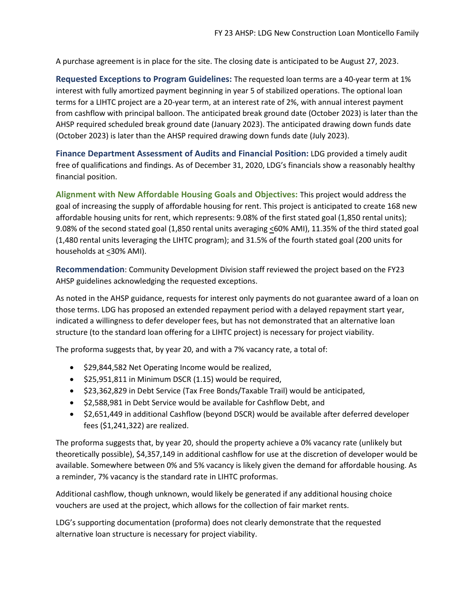A purchase agreement is in place for the site. The closing date is anticipated to be August 27, 2023.

**Requested Exceptions to Program Guidelines:** The requested loan terms are a 40-year term at 1% interest with fully amortized payment beginning in year 5 of stabilized operations. The optional loan terms for a LIHTC project are a 20-year term, at an interest rate of 2%, with annual interest payment from cashflow with principal balloon. The anticipated break ground date (October 2023) is later than the AHSP required scheduled break ground date (January 2023). The anticipated drawing down funds date (October 2023) is later than the AHSP required drawing down funds date (July 2023).

**Finance Department Assessment of Audits and Financial Position:** LDG provided a timely audit free of qualifications and findings. As of December 31, 2020, LDG's financials show a reasonably healthy financial position.

**Alignment with New Affordable Housing Goals and Objectives:** This project would address the goal of increasing the supply of affordable housing for rent. This project is anticipated to create 168 new affordable housing units for rent, which represents: 9.08% of the first stated goal (1,850 rental units); 9.08% of the second stated goal (1,850 rental units averaging <60% AMI), 11.35% of the third stated goal (1,480 rental units leveraging the LIHTC program); and 31.5% of the fourth stated goal (200 units for households at <30% AMI).

**Recommendation**: Community Development Division staff reviewed the project based on the FY23 AHSP guidelines acknowledging the requested exceptions.

As noted in the AHSP guidance, requests for interest only payments do not guarantee award of a loan on those terms. LDG has proposed an extended repayment period with a delayed repayment start year, indicated a willingness to defer developer fees, but has not demonstrated that an alternative loan structure (to the standard loan offering for a LIHTC project) is necessary for project viability.

The proforma suggests that, by year 20, and with a 7% vacancy rate, a total of:

- \$29,844,582 Net Operating Income would be realized,
- \$25,951,811 in Minimum DSCR (1.15) would be required,
- \$23,362,829 in Debt Service (Tax Free Bonds/Taxable Trail) would be anticipated,
- \$2,588,981 in Debt Service would be available for Cashflow Debt, and
- \$2,651,449 in additional Cashflow (beyond DSCR) would be available after deferred developer fees (\$1,241,322) are realized.

The proforma suggests that, by year 20, should the property achieve a 0% vacancy rate (unlikely but theoretically possible), \$4,357,149 in additional cashflow for use at the discretion of developer would be available. Somewhere between 0% and 5% vacancy is likely given the demand for affordable housing. As a reminder, 7% vacancy is the standard rate in LIHTC proformas.

Additional cashflow, though unknown, would likely be generated if any additional housing choice vouchers are used at the project, which allows for the collection of fair market rents.

LDG's supporting documentation (proforma) does not clearly demonstrate that the requested alternative loan structure is necessary for project viability.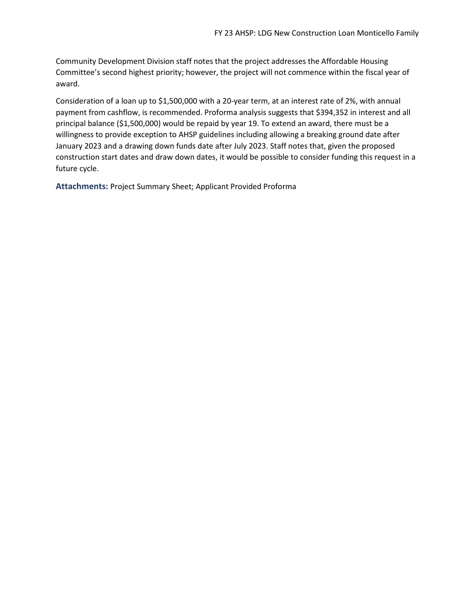Community Development Division staff notes that the project addresses the Affordable Housing Committee's second highest priority; however, the project will not commence within the fiscal year of award.

Consideration of a loan up to \$1,500,000 with a 20-year term, at an interest rate of 2%, with annual payment from cashflow, is recommended. Proforma analysis suggests that \$394,352 in interest and all principal balance (\$1,500,000) would be repaid by year 19. To extend an award, there must be a willingness to provide exception to AHSP guidelines including allowing a breaking ground date after January 2023 and a drawing down funds date after July 2023. Staff notes that, given the proposed construction start dates and draw down dates, it would be possible to consider funding this request in a future cycle.

**Attachments:** Project Summary Sheet; Applicant Provided Proforma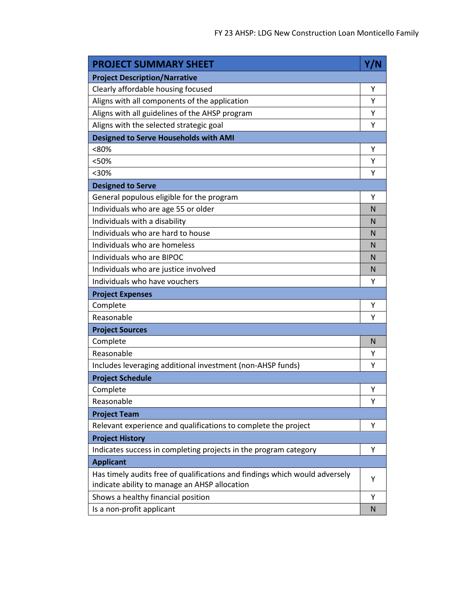| <b>PROJECT SUMMARY SHEET</b>                                                                                                 | Y/N          |
|------------------------------------------------------------------------------------------------------------------------------|--------------|
| <b>Project Description/Narrative</b>                                                                                         |              |
| Clearly affordable housing focused                                                                                           | Υ            |
| Aligns with all components of the application                                                                                | Υ            |
| Aligns with all guidelines of the AHSP program                                                                               | Υ            |
| Aligns with the selected strategic goal                                                                                      | Υ            |
| <b>Designed to Serve Households with AMI</b>                                                                                 |              |
| <80%                                                                                                                         | Υ            |
| <50%                                                                                                                         | Υ            |
| $<$ 30%                                                                                                                      | Υ            |
| <b>Designed to Serve</b>                                                                                                     |              |
| General populous eligible for the program                                                                                    | Υ            |
| Individuals who are age 55 or older                                                                                          | N            |
| Individuals with a disability                                                                                                | N            |
| Individuals who are hard to house                                                                                            | N            |
| Individuals who are homeless                                                                                                 | $\mathsf{N}$ |
| Individuals who are BIPOC                                                                                                    | N            |
| Individuals who are justice involved                                                                                         | $\mathsf{N}$ |
| Individuals who have vouchers                                                                                                | Υ            |
| <b>Project Expenses</b>                                                                                                      |              |
| Complete                                                                                                                     | Υ            |
| Reasonable                                                                                                                   | Υ            |
| <b>Project Sources</b>                                                                                                       |              |
| Complete                                                                                                                     | N            |
| Reasonable                                                                                                                   | Υ            |
| Includes leveraging additional investment (non-AHSP funds)                                                                   | Υ            |
| <b>Project Schedule</b>                                                                                                      |              |
| Complete                                                                                                                     | Υ            |
| Reasonable                                                                                                                   | Υ            |
| <b>Project Team</b>                                                                                                          |              |
| Relevant experience and qualifications to complete the project                                                               | Y            |
| <b>Project History</b>                                                                                                       |              |
| Indicates success in completing projects in the program category                                                             | Υ            |
| <b>Applicant</b>                                                                                                             |              |
| Has timely audits free of qualifications and findings which would adversely<br>indicate ability to manage an AHSP allocation | Υ            |
| Shows a healthy financial position                                                                                           | Υ            |
| Is a non-profit applicant                                                                                                    | N            |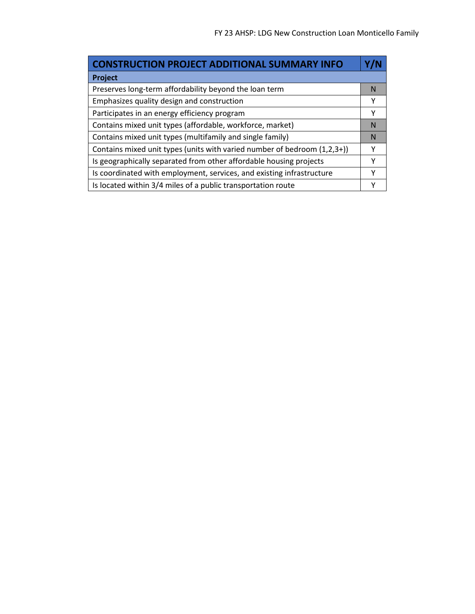| <b>CONSTRUCTION PROJECT ADDITIONAL SUMMARY INFO</b>                      |   |
|--------------------------------------------------------------------------|---|
| Project                                                                  |   |
| Preserves long-term affordability beyond the loan term                   | N |
| Emphasizes quality design and construction                               | Υ |
| Participates in an energy efficiency program                             | Υ |
| Contains mixed unit types (affordable, workforce, market)                | N |
| Contains mixed unit types (multifamily and single family)                | N |
| Contains mixed unit types (units with varied number of bedroom (1,2,3+)) | Y |
| Is geographically separated from other affordable housing projects       | γ |
| Is coordinated with employment, services, and existing infrastructure    | Υ |
| Is located within 3/4 miles of a public transportation route             |   |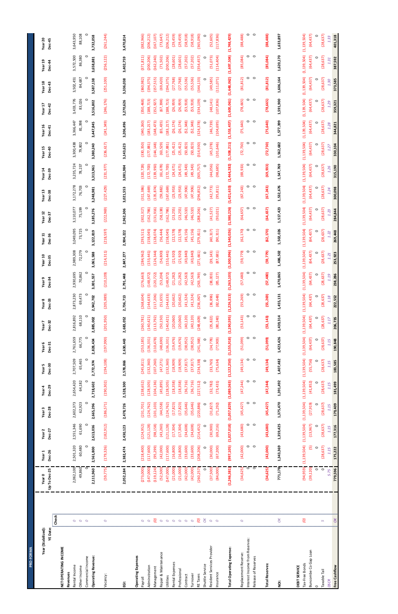| <b>PRO-FORM</b>                      |              |                         |                          |                         |                          |                          |                          |                          |                          |                                        |                                                      |                               |                          |                          |                         |                          |                          |                          |                          |                          |                          |
|--------------------------------------|--------------|-------------------------|--------------------------|-------------------------|--------------------------|--------------------------|--------------------------|--------------------------|--------------------------|----------------------------------------|------------------------------------------------------|-------------------------------|--------------------------|--------------------------|-------------------------|--------------------------|--------------------------|--------------------------|--------------------------|--------------------------|--------------------------|
| Year (Stabilized):                   |              | ear 0                   | Year <sub>1</sub>        | Year <sub>2</sub>       | Year <sub>3</sub>        | Year <sub>4</sub>        | Year 5                   | Year 6                   | Year <sub>7</sub>        | Year <sub>9</sub><br>Year <sub>8</sub> | Year 10                                              | Year 11                       | Year 12                  | Year 13                  | Year 14                 | Year 15                  | Year 16                  | Year 17                  | Year 18                  | Year 19                  | Year <sub>20</sub>       |
| <b>YE</b> Date:                      |              | o Dec-25<br>٦qu         | Dec-26                   | Dec-27                  | Dec-28                   | <b>Dec-29</b>            | <b>Dec-30</b>            | Dec-31                   | Dec-32                   | Dec-34<br><b>Dec-33</b>                | Dec-3                                                | <b>Dec-36</b><br>LO.          | <b>Dec-37</b>            | Dec-38                   | <b>Dec-39</b>           | Dec-40                   | <b>Dec-41</b>            | Dec-42                   | <b>Dec-43</b>            | <b>Dec-44</b>            | <b>Dec-45</b>            |
| NET OPERATING INCOME                 | Check        |                         |                          |                         |                          |                          |                          |                          |                          |                                        |                                                      |                               |                          |                          |                         |                          |                          |                          |                          |                          |                          |
| Revenues                             |              |                         |                          |                         |                          |                          |                          |                          |                          |                                        |                                                      |                               |                          |                          |                         |                          |                          |                          |                          |                          |                          |
| Rental Income<br>Other Income        | $\circ$<br>O | 2,062,100<br>49,860     | 2,501,320<br>60,480      | 2,551,346<br>61,690     | 2,602,373<br>62,923      | 2,654,420<br>64,182      | 2,707,509<br>65,465      | 2,761,659<br>66,775      | 68,110<br>2,816,892      | 2,873,230<br>69,473                    | 2,989,308<br>2,930,695<br>70,862                     | 3,049,095<br>73,725<br>72,279 | 3,110,077<br>75,199      | 3,172,278<br>76,703      | 3,235,724<br>78,237     | 3,300,438<br>79,802      | 3,366,447<br>81,398      | 3,433,776<br>83,026      | 3,502,451<br>84,687      | 3,572,500<br>86,380      | 3,643,950<br>88,108      |
| Commercial Income                    | $\circ$      |                         |                          |                         | ∊                        |                          |                          |                          |                          | c                                      |                                                      | $\circ$                       |                          | c                        |                         |                          |                          |                          | c                        | c                        |                          |
| <b>Operating Revenue:</b>            |              | ,111,960                | 2,561,800                | 2,613,036               | 2,665,296                | 2,718,602                | 2,772,974                | 2,828,434                | 2,885,002                | 3,001,557<br>2,942,702                 | 3,061,                                               | 3,122,819<br>588              | 3,185,276                | 3,248,981                | 3,313,961               | 3,380,240                | 3,447,845                | 3,516,802                | 3,587,138                | 3,658,881                | 3,732,058                |
| Vacancy:                             | $\circ$      | (59, 775)               | (179, 326)               | (182, 912)              | (186, 571)               | (190, 302)               | (194, 108)               | (197, 990)               | (201, 950)               | (205, 989)                             | (214,<br>(210, 109)                                  | (218, 597)<br>311)            | (222, 969)               | (227, 429)               | (231, 977)              | (236, 617)               | (241, 349)               | (246, 176)               | (251, 100)               | (256, 122)               | (261, 244)               |
| ġ                                    |              | 2,052,184               | 2,382,474                | 2,430,123               | 2,478,726                | 2,528,300                | 2,578,866                | 2,630,443                | 2,683,052                | 2,791,448<br>2,736,713                 | 2,847,277                                            | 2,904,222                     | 2,962,306                | 3,021,553                | 3,081,984               | 3,143,623                | 3,206,496                | 3,270,626                | 3,336,038                | 3,402,759                | 3,470,814                |
| <b>Operating Expenses</b><br>Payroll |              | (273,000)               | (218, 400)               | (224, 952)              | (231, 701)               | (238, 652)               | (245, 811)               | (253, 185)               | (260, 781)               | (268, 604)                             | (284, 962)<br>(276, 663)                             |                               | (302, 317)               | (311, 386)               | (320, 728)              | (330, 350)               | (340,260)                | (350, 468)               | (360, 982)               | (371, 811)               | (382, 966)               |
|                                      | $\circ$      |                         |                          |                         |                          |                          |                          |                          |                          |                                        |                                                      | (293, 511)                    |                          |                          |                         |                          |                          |                          |                          |                          |                          |
| Adminstration<br>Management          |              | (147,000)<br>(119, 124) | (117,600)<br>(95, 299)   | (121, 128)<br>(98, 158) | (124, 762)<br>(101, 103) | (128, 505)<br>(104, 136) | (132, 360)<br>(107, 260) | (136, 331)<br>(110, 478) | (140, 421)<br>(113, 792) | (144, 633)<br>(117, 206)               | (124, 344)<br>(153, 441)<br>(148, 972)<br>(120, 722) | (158, 045)<br>(128, 074)      | (162, 786)<br>(131, 916) | (135, 874)<br>(167, 669) | (172,700)<br>(139, 950) | (177, 881)<br>(144, 148) | (183, 217)<br>(148, 473) | (188, 713)<br>(152, 927) | (194, 375)<br>(157, 515) | (200, 206)<br>(162, 240) | (206, 212)<br>(167, 107) |
| Repair & Maintenance                 |              | (52,500)                | (42,000)                 | (43, 260)               | (44,558)                 | (45, 895)                | (47,271)                 | (48,690)                 | (50, 150)                | (51, 655)                              | (53, 204)                                            | (56, 444)<br>(54, 800)        | (58, 138)                | (59, 882)                | (61, 678)               | (63,529)                 | (65, 435)                | (67,398)                 | (69, 420)                | (71,502)                 | (73, 647)                |
| Utilities                            |              | (147,000)               | (117,600)                | 121,128)                | (124, 762)               | (128, 505)               | (132, 360)               | (136, 331)               | (140, 421)               | (144, 633)                             | (153, 441)<br>(148, 972)                             | (158, 045)                    | (162, 786)               | 167,669)                 | (172, 700)              | (177, 881)               | (183, 217)               | (188, 713)               | (194, 375)               | (200, 206)               | (206, 212)               |
| Rental Expenses                      |              | (21,000)                | (16, 800)                | (17, 304)               | (17, 823)                | (18, 358)                | (18,909)                 | (19, 476)                | (20,060)                 | (20, 662)                              | (21, 282)                                            | (22,578)<br>(21, 920)         | (23, 255)                | (23, 953)                | (24, 671)               | (25, 412)                | (26, 174)                | (26, 959)                | (27,768)                 | (28, 601)                | (29, 459)                |
| Professional                         |              | (21,000)                | (16, 800)                | (17, 304)               | (17, 823)                | (18, 358)                | (18,909)                 | (19, 476)                | (20,060)                 | (20, 662)                              | (21, 282)                                            | (22,578)<br>(21, 920)         | (23, 255)                | (23, 953)                | (24, 671)               | (25, 412)                | (26, 174)                | (26, 959)                | (27,768)                 | (28, 601)                | (29, 459)                |
| Contract                             |              | (42,000)                | (33,600)                 | (34, 608)               | (35, 646)                | (36, 716)                | (37, 817)                | (38, 952)                | (40, 120)                | (41, 324)                              | (42, 563)                                            | (45, 156)<br>(43, 840)        | (46, 510)                | (47,906)                 | (49,343)                | (50, 823)                | (52, 348)                | (53, 918)                | (55, 536)                | (57,202)                 | (58, 918)                |
| Turnover                             |              | (42,000)                | (33,600)                 | (34,608)                | (35, 646)                | (36, 716)                | (37, 817)                | (38, 952)                | (40, 120)                | (41, 324)                              | (42, 563)                                            | (45, 156)<br>(43, 840)        | (46, 510)                | (47,906)                 | (49, 343)               | (50, 823)                | (52, 348)                | (53, 918)                | (55, 536)                | (57,202)                 | (58, 918)                |
| RE Taxes                             |              | (260, 257)              | 208,206)                 | (214, 452)              | (220, 886)               | (227, 512)               | (234, 338)               | (241, 368)               | (248, 609)               | (256,067)                              | (271, 661)<br>(263, 749)                             | (279, 811)                    | (288, 206)               | (296, 852)               | (305,757)               | (314, 930)               | (324, 378)               | (334, 109)               | (344, 133)               | (354,457)                | (365,090)                |
| Shuttle Service                      |              | $\circ$                 | $\circ$                  | $\circ$                 | $\circ$                  | $\circ$                  | $\circ$                  | $\circ$                  | $\circ$                  | $\circ$                                | $\circ$                                              | $\circ$                       | $\circ$                  | $\circ$<br>$\circ$       | $\circ$                 | $\circ$                  | $\circ$                  | 0                        | $\circ$                  | $\circ$                  | $\circ$                  |
| Resident Services Provider           |              | (37,500)                | (30,000)                 | (30, 900)               | (31, 827)                | (32, 782)                | (33, 765)                | (34, 778)                | (35, 822)                | (36, 896)                              | (38,003)                                             | (40, 317)<br>(39, 143)        | (41, 527)                | (42, 773)                | (44, 056)               | (45, 378)                | (46, 739)                | (48, 141)                | (49, 585)                | (51, 073)                | (52,605)                 |
| Insurance                            |              | (84,000)                | (67,200)                 | (69, 216)               | (71, 292)                | (73, 431)                | (75, 634)                | (77,903)                 | (80, 240)                | (82, 648)                              | (87,<br>(85, 127)                                    | (90, 311)<br>681)             | (93, 021)                | (95, 811)                | (98, 685)               | (101, 646)               | (104, 695)               | (107, 836)               | (111, 071)               | (114, 404)               | (117, 836)               |
| <b>Total Operating Expense:</b>      |              | (1, 246, 381)           | (997, 105)               | (1,027,018)             | (1,057,829)              | (1,089,563)              | (1, 122, 250)            | (1,155,918)              | (1,190,595)              | (1,263,103)<br>(1, 226, 313)           | (1,300,996)                                          | (1,340,026)                   | (1,380,226)              | (1,421,633)              | (1,464,282)             | (1,508,211)              | (1,553,457)              | (1,600,061)              | (1,648,062)              | (1,697,504)              | (1,748,429)              |
| Replacement Reserve:                 | $\circ$      | (34, 625)               | (42,000)                 | (43, 680)               | (45, 427)                | (47, 244)                | (49, 134)                | (51,099)                 | (53, 143)                | (55,269)                               | (57, 480)                                            | (62, 170)<br>(59, 779)        | (64, 657)                | (67, 243)                | (69, 933)               | (72, 730)                | (75, 640)                | (78, 665)                | (81, 812)                | (85,084)                 | (88, 488)                |
| Interest Income from Reserves:       |              | $\circ$                 | 0                        | $\circ$                 | 0                        | 0                        | 0                        | 0                        | 0                        | $\circ$                                | 0                                                    | $\circ$                       | $\circ$                  | $\circ$<br>0             | 0                       | 0                        | 0                        | 0                        | $\circ$                  | 0                        | 0                        |
| Release of Reserves                  |              | $\circ$                 | $\circ$                  | $\circ$                 | $\circ$                  | $\circ$                  | $\circ$                  | $\circ$                  | $\circ$                  | $\circ$                                | $\circ$                                              | $\circ$                       | $\circ$                  | $\circ$<br>$\circ$       | $\circ$                 | $\circ$                  | $\circ$                  | $\circ$                  | $\circ$                  | $\circ$                  | $\circ$                  |
| <b>Total Reserves:</b>               |              | 34,625                  | (42,000)                 | (43, 680)               | (45, 427)                | (47, 244)                | (49, 134)                | (51,099)                 | (53, 143)                | (55,269)                               | (57,480)                                             | (62, 170)<br>(59, 779)        | (64, 657)                | (67, 243)                | (69, 933)               | (72, 730)                | (75, 640)                | (78, 665)                | (81, 812)                | (85,084)                 | (88, 488)                |
| ğ                                    | $\alpha$     | 771,178                 | 1,343,369                | 1,359,425               | 1,375,470                | 1,391,492                | 1,407,482                | 1,423,426                | 1,439,314                | 1,455,131                              | 1,486,502<br>1,470,865                               | 1,502,026                     | 1,517,423                | 1,532,676                | 1,547,769               | 1,562,682                | 1,577,399                | 1,591,900                | 1,606,164                | 1,620,170                | 1,633,897                |
|                                      |              |                         |                          |                         |                          |                          |                          |                          |                          |                                        |                                                      |                               |                          |                          |                         |                          |                          |                          |                          |                          |                          |
| Tax-Free Bonds<br>DEBT SERVICE       | $\tilde{g}$  | (94, 959)               | (1, 139, 504)            | (1, 139, 504)           | (1, 139, 504)            | (1, 139, 504)            | (1, 139, 504)            | (1, 139, 504)            | (1, 139, 504)            | (1, 139, 504)                          | (1, 139, 504)<br>(1, 139, 504)                       | (1, 139, 504)                 | (1, 139, 504)            | (1, 139, 504)            | (1, 139, 504)           | (1, 139, 504)            | (1, 139, 504)            | (1, 139, 504)            | (1, 139, 504)            | (1, 139, 504)            | (1, 139, 504)            |
| Buncombe Co Gap Loan                 |              | (39, 120)               | $\widetilde{\mathbf{5}}$ | (13, 967)               | (27, 919)                | (41, 852)                | (55, 756)                | (64, 437)                | (64, 437)                | (64, 437)                              | (64, 437)                                            | (64, 437)<br>(64, 437)        | (64, 437)                | (64, 437)                | (64, 437)               | (64, 437)                | (64, 437)                | (64, 437)                | (64, 437)                | (64, 437)                | (64, 437)                |
| $\circ$                              |              | $\circ$                 | $\circ$                  | $\circ$                 | 0                        | 0                        | 0                        | 0                        | 0                        |                                        | 0                                                    | $\circ$                       | $\circ$                  | $\circ$<br>0             | 0                       | 0                        | 0                        | 0                        | 0                        | 0                        | 0                        |
| Taxable Tail                         | $\sqrt{2}$   | $\circ$                 | (28, 637)                | (28, 637)               | (28, 637)                | (28, 637)                | (28, 637)                | (28, 637)                | (28, 637)                | (28, 637)                              | (28,<br>(28, 637)                                    | (28, 637)<br>637)             | (28, 637)                | (28, 637)                | (28, 637)               | (28, 637)                | (28, 637)                | (28, 637)                | (28, 637)                | (28, 637)                | (28, 637)                |
| <b>DSCR</b>                          |              | 5.75                    | 1.15                     | 1.15                    | 1.15                     | 1.15                     | 1.15                     | 1.15                     |                          | 1.18                                   | 1.19                                                 | 1.22<br>.21                   | 1.23                     | 1.24                     | 1.26                    | 1.27                     | 1.28                     | 1.29                     | 1.30                     | 1.31                     | 1.33                     |
| Free Cashflow                        | $\alpha$     | 779,596                 | 175,222                  | 177,316                 | 179,409                  | 181,499                  | 183,585                  | 190,848                  | 206,735                  | 222,552                                | 253,<br>238,286                                      | 269,448<br>923                | 284,844                  | 300,098                  | 315,190                 | 330,104                  | 344,821                  | 359,321                  | 373,585                  | 387,592                  | 401,318                  |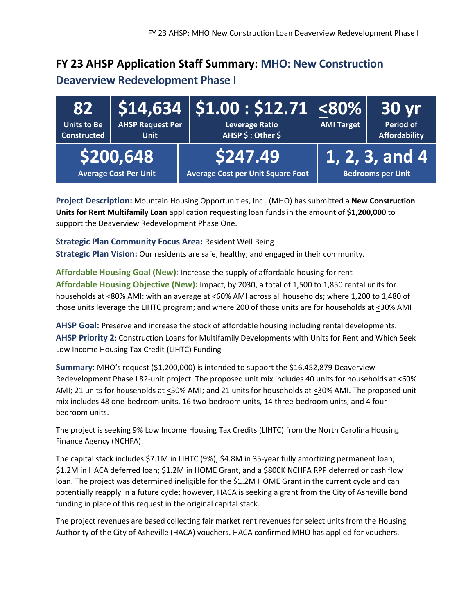#### **FY 23 AHSP Application Staff Summary: MHO: New Construction**

#### **Deaverview Redevelopment Phase I**

| 82<br><b>Units to Be</b><br><b>Constructed</b> | <b>AHSP Request Per</b><br><b>Unit</b>    | $\mid$ \$14,634 $\mid$ \$1.00 : \$12.71 $\mid$ <80% $\mid$<br><b>Leverage Ratio</b><br>AHSP \$: Other \$ | <b>AMI Target</b> | 30 <sub>yr</sub><br><b>Period of</b><br><b>Affordability</b> |
|------------------------------------------------|-------------------------------------------|----------------------------------------------------------------------------------------------------------|-------------------|--------------------------------------------------------------|
|                                                | \$200,648<br><b>Average Cost Per Unit</b> | \$247.49<br><b>Average Cost per Unit Square Foot</b>                                                     |                   | $(1, 2, 3,$ and 4<br><b>Bedrooms per Unit</b>                |

**Project Description:** Mountain Housing Opportunities, Inc . (MHO) has submitted a **New Construction Units for Rent Multifamily Loan** application requesting loan funds in the amount of **\$1,200,000** to support the Deaverview Redevelopment Phase One.

**Strategic Plan Community Focus Area:** Resident Well Being **Strategic Plan Vision:** Our residents are safe, healthy, and engaged in their community.

**Affordable Housing Goal (New):** Increase the supply of affordable housing for rent **Affordable Housing Objective (New):** Impact, by 2030, a total of 1,500 to 1,850 rental units for households at <80% AMI: with an average at <60% AMI across all households; where 1,200 to 1,480 of those units leverage the LIHTC program; and where 200 of those units are for households at <30% AMI

**AHSP Goal:** Preserve and increase the stock of affordable housing including rental developments. **AHSP Priority 2**: Construction Loans for Multifamily Developments with Units for Rent and Which Seek Low Income Housing Tax Credit (LIHTC) Funding

**Summary**: MHO's request (\$1,200,000) is intended to support the \$16,452,879 Deaverview Redevelopment Phase I 82-unit project. The proposed unit mix includes 40 units for households at  $\leq 60\%$ AMI; 21 units for households at <50% AMI; and 21 units for households at <30% AMI. The proposed unit mix includes 48 one-bedroom units, 16 two-bedroom units, 14 three-bedroom units, and 4 fourbedroom units.

The project is seeking 9% Low Income Housing Tax Credits (LIHTC) from the North Carolina Housing Finance Agency (NCHFA).

The capital stack includes \$7.1M in LIHTC (9%); \$4.8M in 35-year fully amortizing permanent loan; \$1.2M in HACA deferred loan; \$1.2M in HOME Grant, and a \$800K NCHFA RPP deferred or cash flow loan. The project was determined ineligible for the \$1.2M HOME Grant in the current cycle and can potentially reapply in a future cycle; however, HACA is seeking a grant from the City of Asheville bond funding in place of this request in the original capital stack.

The project revenues are based collecting fair market rent revenues for select units from the Housing Authority of the City of Asheville (HACA) vouchers. HACA confirmed MHO has applied for vouchers.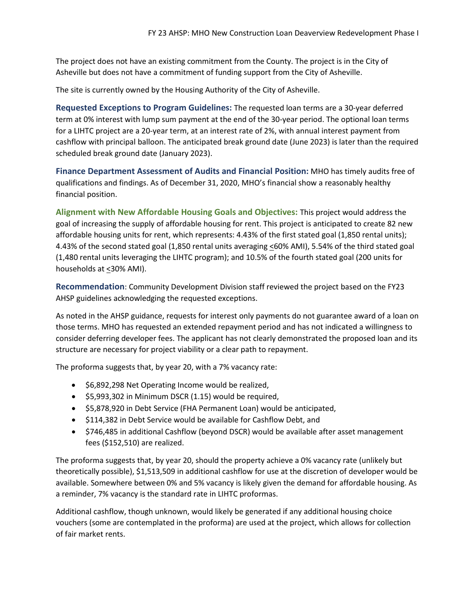The project does not have an existing commitment from the County. The project is in the City of Asheville but does not have a commitment of funding support from the City of Asheville.

The site is currently owned by the Housing Authority of the City of Asheville.

**Requested Exceptions to Program Guidelines:** The requested loan terms are a 30-year deferred term at 0% interest with lump sum payment at the end of the 30-year period. The optional loan terms for a LIHTC project are a 20-year term, at an interest rate of 2%, with annual interest payment from cashflow with principal balloon. The anticipated break ground date (June 2023) is later than the required scheduled break ground date (January 2023).

**Finance Department Assessment of Audits and Financial Position:** MHO has timely audits free of qualifications and findings. As of December 31, 2020, MHO's financial show a reasonably healthy financial position.

**Alignment with New Affordable Housing Goals and Objectives:** This project would address the goal of increasing the supply of affordable housing for rent. This project is anticipated to create 82 new affordable housing units for rent, which represents: 4.43% of the first stated goal (1,850 rental units); 4.43% of the second stated goal (1,850 rental units averaging <60% AMI), 5.54% of the third stated goal (1,480 rental units leveraging the LIHTC program); and 10.5% of the fourth stated goal (200 units for households at <30% AMI).

**Recommendation**: Community Development Division staff reviewed the project based on the FY23 AHSP guidelines acknowledging the requested exceptions.

As noted in the AHSP guidance, requests for interest only payments do not guarantee award of a loan on those terms. MHO has requested an extended repayment period and has not indicated a willingness to consider deferring developer fees. The applicant has not clearly demonstrated the proposed loan and its structure are necessary for project viability or a clear path to repayment.

The proforma suggests that, by year 20, with a 7% vacancy rate:

- \$6,892,298 Net Operating Income would be realized,
- \$5,993,302 in Minimum DSCR (1.15) would be required,
- \$5,878,920 in Debt Service (FHA Permanent Loan) would be anticipated,
- \$114,382 in Debt Service would be available for Cashflow Debt, and
- \$746,485 in additional Cashflow (beyond DSCR) would be available after asset management fees (\$152,510) are realized.

The proforma suggests that, by year 20, should the property achieve a 0% vacancy rate (unlikely but theoretically possible), \$1,513,509 in additional cashflow for use at the discretion of developer would be available. Somewhere between 0% and 5% vacancy is likely given the demand for affordable housing. As a reminder, 7% vacancy is the standard rate in LIHTC proformas.

Additional cashflow, though unknown, would likely be generated if any additional housing choice vouchers (some are contemplated in the proforma) are used at the project, which allows for collection of fair market rents.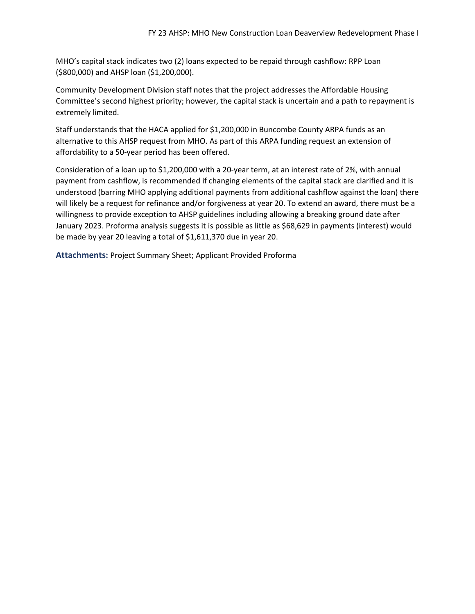MHO's capital stack indicates two (2) loans expected to be repaid through cashflow: RPP Loan (\$800,000) and AHSP loan (\$1,200,000).

Community Development Division staff notes that the project addresses the Affordable Housing Committee's second highest priority; however, the capital stack is uncertain and a path to repayment is extremely limited.

Staff understands that the HACA applied for \$1,200,000 in Buncombe County ARPA funds as an alternative to this AHSP request from MHO. As part of this ARPA funding request an extension of affordability to a 50-year period has been offered.

Consideration of a loan up to \$1,200,000 with a 20-year term, at an interest rate of 2%, with annual payment from cashflow, is recommended if changing elements of the capital stack are clarified and it is understood (barring MHO applying additional payments from additional cashflow against the loan) there will likely be a request for refinance and/or forgiveness at year 20. To extend an award, there must be a willingness to provide exception to AHSP guidelines including allowing a breaking ground date after January 2023. Proforma analysis suggests it is possible as little as \$68,629 in payments (interest) would be made by year 20 leaving a total of \$1,611,370 due in year 20.

**Attachments:** Project Summary Sheet; Applicant Provided Proforma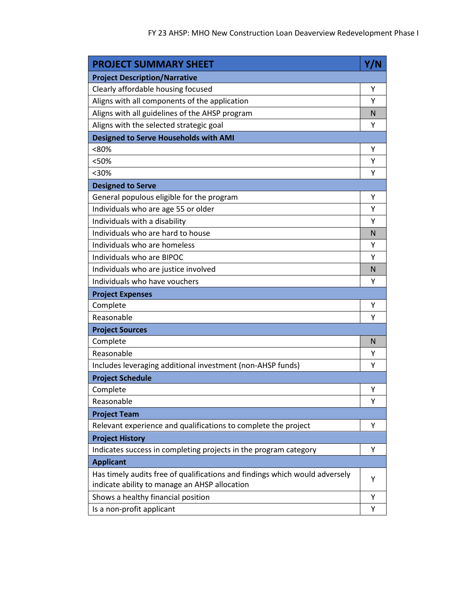| <b>PROJECT SUMMARY SHEET</b>                                                                                                 | Y/N |
|------------------------------------------------------------------------------------------------------------------------------|-----|
| <b>Project Description/Narrative</b>                                                                                         |     |
| Clearly affordable housing focused                                                                                           | Υ   |
| Aligns with all components of the application                                                                                | Υ   |
| Aligns with all guidelines of the AHSP program                                                                               | N   |
| Aligns with the selected strategic goal                                                                                      | Υ   |
| <b>Designed to Serve Households with AMI</b>                                                                                 |     |
| <80%                                                                                                                         | Υ   |
| <50%                                                                                                                         | Υ   |
| $30%$                                                                                                                        | Υ   |
| <b>Designed to Serve</b>                                                                                                     |     |
| General populous eligible for the program                                                                                    | Υ   |
| Individuals who are age 55 or older                                                                                          | Υ   |
| Individuals with a disability                                                                                                | Υ   |
| Individuals who are hard to house                                                                                            | N   |
| Individuals who are homeless                                                                                                 | Υ   |
| Individuals who are BIPOC                                                                                                    | Υ   |
| Individuals who are justice involved                                                                                         | N   |
| Individuals who have vouchers                                                                                                | Υ   |
| <b>Project Expenses</b>                                                                                                      |     |
| Complete                                                                                                                     | Υ   |
| Reasonable                                                                                                                   | Υ   |
| <b>Project Sources</b>                                                                                                       |     |
| Complete                                                                                                                     | N   |
| Reasonable                                                                                                                   | Y   |
| Includes leveraging additional investment (non-AHSP funds)                                                                   | Υ   |
| <b>Project Schedule</b>                                                                                                      |     |
| Complete                                                                                                                     | Υ   |
| Reasonable                                                                                                                   | Υ   |
| <b>Project Team</b>                                                                                                          |     |
| Relevant experience and qualifications to complete the project                                                               | Υ   |
| <b>Project History</b>                                                                                                       |     |
| Indicates success in completing projects in the program category                                                             | Υ   |
| <b>Applicant</b>                                                                                                             |     |
| Has timely audits free of qualifications and findings which would adversely<br>indicate ability to manage an AHSP allocation | Υ   |
| Shows a healthy financial position                                                                                           | Υ   |
| Is a non-profit applicant                                                                                                    | Υ   |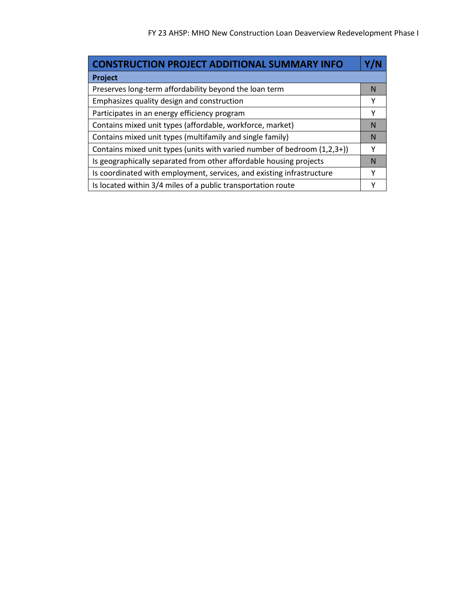| <b>CONSTRUCTION PROJECT ADDITIONAL SUMMARY INFO</b>                      |   |
|--------------------------------------------------------------------------|---|
| Project                                                                  |   |
| Preserves long-term affordability beyond the loan term                   | N |
| Emphasizes quality design and construction                               | Υ |
| Participates in an energy efficiency program                             | Υ |
| Contains mixed unit types (affordable, workforce, market)                | N |
| Contains mixed unit types (multifamily and single family)                | N |
| Contains mixed unit types (units with varied number of bedroom (1,2,3+)) | Υ |
| Is geographically separated from other affordable housing projects       | N |
| Is coordinated with employment, services, and existing infrastructure    | Υ |
| Is located within 3/4 miles of a public transportation route             |   |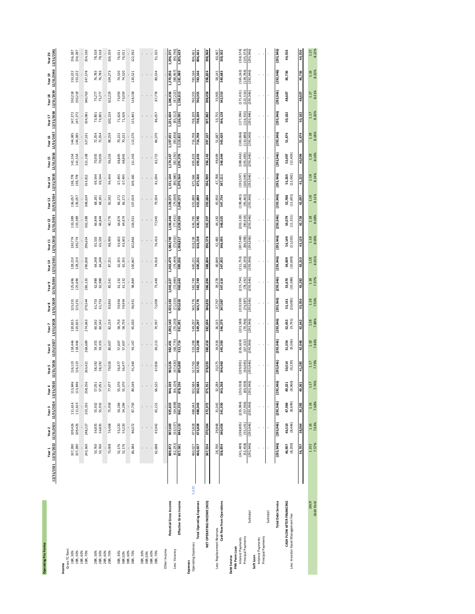| Operating Pro Forma                                                      | 12/31/2021 12/31/2022 12/31/2023 12/31/2024 12/31/2025 12/31/2026 12/31/2027<br>Year <sub>1</sub> | Year <sub>2</sub>       | Year <sub>3</sub>       | Year 4                  | Year <sub>5</sub>       | Year 6                  | 12/31/2028<br>Year <sub>7</sub> | 12/31/2029 12/31/2030 12/31/2031<br>Year <sub>8</sub> | Year <sub>9</sub>       | Year 10                 | 12/31/2032 12/31/2033<br>Year 11 | Year 12                 | Year 13                                       | 12/31/2034 12/31/2035 12/31/2036<br>Year 14 | Year 15                  | 12/31/2037 12/31/2038 12/31/2039 12/31/2040 12/31/2041<br>Year 16 | Year 17                  | Year 18                  | Year 19                      | Year 20                  |
|--------------------------------------------------------------------------|---------------------------------------------------------------------------------------------------|-------------------------|-------------------------|-------------------------|-------------------------|-------------------------|---------------------------------|-------------------------------------------------------|-------------------------|-------------------------|----------------------------------|-------------------------|-----------------------------------------------|---------------------------------------------|--------------------------|-------------------------------------------------------------------|--------------------------|--------------------------|------------------------------|--------------------------|
| Gross TC Rent<br>1BR, 30%<br>1BR, 50%<br>Income                          | 107,280<br>107,280                                                                                | 109,426<br>109,426      | 111,614<br>111,614      | 113,846<br>113,846      | 116,123<br>116,123      | 118,446<br>118,446      | 120,815<br>120,815              | 123,231<br>123,231                                    | 125,696<br>125,696      | 128,210<br>128,210      | 130,774<br>130,774               | 133,389<br>133,389      | 136,057<br>136,057                            | 138,778<br>138,778                          | 141,554<br>141,554       | 144,385<br>144,385                                                | 147,272<br>147,272       | 150,218<br>150,218       | 153,222<br>153,222           | 156,287<br>156,287       |
| 1BR, 60%                                                                 |                                                                                                   |                         |                         |                         |                         |                         |                                 |                                                       |                         |                         |                                  |                         |                                               |                                             |                          |                                                                   |                          |                          |                              |                          |
| 1BR, 70%                                                                 | 243,360                                                                                           | 248,227                 | 253, 192                | 258,256                 | 263,421                 | 268,689                 | 274,063                         | 279,544                                               | 285,135                 | 290,838                 | 296,654                          | 302,588                 | 308,639                                       | 314,812                                     | 321,108                  | 327,531                                                           | 334,081                  | 340,763                  | 347,578                      | 354,530                  |
| 2BR, 30%                                                                 | 53,760                                                                                            | 54,835                  | 55,932                  | 57,051                  | 58,192                  | 59,355                  | 60,542                          | 61,753                                                | 62,988                  | 64,248                  | 65,533                           | 66,844                  | 68,181                                        | 544<br>69,                                  | 70,935                   | 72,354                                                            | 73,801                   | 75,277                   | 76,783                       | 78,318                   |
| 2BR, 50%<br>2BR, 60%                                                     | 53,760                                                                                            | 54,835                  | 55,932                  | 57,051                  | 58,192                  | 59,355                  | 60,542                          | 61,753                                                | 62,988                  | 64,248                  | 65,533                           | 66,844                  | 68,181                                        | 69,544                                      | 70,935                   | 72,354                                                            | 73,801                   | 75,277                   | 76,783                       | 78,318                   |
| 2BR, 70%                                                                 | 73,008                                                                                            | 74,468                  | 75,958                  | 77,477                  | 79,026                  | 80,607                  | 82,219                          | 83,863                                                | 85,541                  | 87,251                  | 88,996                           | 90,776                  | 92,592                                        | 94,444                                      | 96,333                   | 98,259                                                            | 100,224                  | 102,229                  | 104,273                      | 106,359                  |
| 3BR, 30%                                                                 | 52,176                                                                                            | 53,220                  | 54,284                  | 55,370                  | 56,477                  | 57,607                  | 58,759                          | 59,934                                                | 61,132                  | 62,355                  | 63,602                           | 64,874                  | 66,172                                        | 67,495                                      | 68,845                   | 70,222                                                            |                          | 73,059                   | 74,520                       | 76,011                   |
| 3BR,50%                                                                  | 52,176                                                                                            | 53,220                  | 54,284                  | 55,370                  | 56,477                  | 57,607                  | 58,759                          | 59,934                                                | 61,132                  | 62,355                  | 63,602                           | 64,874                  | 66,172                                        | 67,495                                      | 68,845                   | 70,222                                                            | 71,626<br>71,626         | 73,059                   | 74,520                       | 76,011                   |
| 3BR, 60%                                                                 |                                                                                                   |                         |                         |                         |                         |                         |                                 |                                                       |                         |                         |                                  |                         |                                               |                                             |                          |                                                                   |                          |                          |                              |                          |
| 3BR, 70%                                                                 | 84,384                                                                                            | 86,072                  | 87,793                  | 89,549                  | 91,340                  | 93,167                  | 95,030                          | 96,931                                                | 98,869                  | 100,847                 | 102,864                          | 104,921                 | 107,019                                       | 109,160                                     | 111,343                  | 113,570                                                           | 115,841                  | 118,158                  | 120,521                      | 122,932                  |
| 3BR, 30%                                                                 |                                                                                                   |                         |                         |                         | ı.                      | ı.                      |                                 |                                                       |                         |                         |                                  |                         |                                               |                                             |                          |                                                                   |                          |                          |                              |                          |
| 3BR, 60%<br>3BR,50%                                                      |                                                                                                   |                         |                         |                         |                         |                         |                                 |                                                       |                         |                         |                                  |                         |                                               |                                             |                          |                                                                   |                          |                          |                              |                          |
| 3BR, 70%                                                                 | 62,688                                                                                            | 63,942                  | 65,221                  | 66,525                  | 67,856                  | 69,213                  | 70,597                          | 72,009                                                | 73,449                  | 74,918                  | 76,416                           | 77,945                  | 79,504                                        | 81,094                                      | 82,715                   | 84,370                                                            | 86,057                   | 87,778                   | 89,534                       | 91,325                   |
|                                                                          |                                                                                                   |                         |                         |                         |                         |                         |                                 |                                                       |                         |                         |                                  |                         |                                               |                                             |                          |                                                                   |                          |                          |                              |                          |
| Other Income                                                             |                                                                                                   |                         |                         |                         |                         |                         |                                 |                                                       |                         |                         |                                  |                         |                                               |                                             |                          |                                                                   |                          |                          |                              |                          |
| Potential Gross Income                                                   | (62, 291)<br>889,872                                                                              | (63,537)<br>907,669     | (64, 808)<br>925,823    | (66, 104)<br>944,339    | (67, 426)<br>963,226    | (68,774)<br>982,491     | (70, 150)<br>,002,140           | (71,553)<br>1,022,183                                 | (72.984)<br>1,042,627   | (74, 444)<br>1,063,479  | (75, 932)<br>1,084,749           | (77, 451)<br>1,106,444  | (79,000)<br>1,128,573                         | 1,151,144                                   | (82, 192)<br>1,174,167   | (83, 836)<br>1,197,651                                            | (85, 512)<br>1,221,604   | (87, 222)<br>,246,036    | (88,967<br>1,270,956         | (90, 746)<br>1,296,375   |
| Effective Gross Income<br>Less: Vacancy                                  | 827,581                                                                                           | 844,133                 | 861,015                 | 878,236                 | 895,800                 | 913,716                 | 931,991                         | 950,630                                               | 969,643                 | 989,036                 | 1,008,817                        | 1,028,993               | 1,049,573                                     | 1,070,564                                   | 1,091,976                | 1,113,815                                                         | 1,136,091                | 1,158,813                | 1,181,989                    | 1,205,629                |
| 5,610<br>Operating Expenses<br>Expenses                                  | 460,027                                                                                           | 473,828                 | 488,043                 | 502,684                 | 517,765                 | 533,298                 | 549,297                         | 565,776                                               | 582,749                 | 600,231                 | 618,238                          | 636,785                 | 655,889                                       | 675,566                                     | 695,833                  | 716,708                                                           | 738,209                  | 760,355                  | 783,166                      | 806,661                  |
| <b>Total Operating Expenses</b>                                          | 460,027                                                                                           | 473,828                 | 488,043                 | 502,684                 | 517,765                 | 533,298                 | 549,297                         | 565,776                                               | 582,749                 | 600,231                 | 618,238                          | 636,785                 | 655,889                                       | 675,566                                     | 695,833                  | 716,708                                                           | 738,209                  | 760,355                  | 783,166                      | 806,661                  |
| NET OPERATING INCOME (NOI)                                               | 367,554                                                                                           | 370,304                 | 372,972                 | 375,551                 | 378,035                 | 380,418                 | 382,694                         | 384,855                                               | 386,894                 | 388,804                 | 390,578                          | 392,207                 | 393,684                                       | 394,999                                     | 396,143                  | 397,107                                                           | 397,882                  | 398,458                  | 398,824                      | 398,968                  |
| Less: Replacement Reserves                                               | 28,700                                                                                            | 29,848                  | 31,042                  | 32,284                  | 33,575                  | 34,918                  | 36,315                          | 37,767                                                | 39,278                  | 40,849                  | 42,483                           | 44,182                  | 45,950                                        | 47,788                                      | 49,699                   | 51,687                                                            | 53,755                   | 55,905                   | 58,141                       | 60,467                   |
| Cash flow from Operations                                                | 338,854                                                                                           | 340,456                 | 341,930                 | 343,268                 | 344,460                 | 345,500                 | 346,379                         | 347,087                                               | 347,616                 | 347,955                 | 348,095                          | 348,025                 | 347,734                                       | 347,211                                     | 346,444                  | 345,420                                                           | 344,128                  | 342,553                  | 340,683                      | 338,502                  |
| Principal Payments<br>Interest Payments<br>FHA Perm Loan<br>Debt Service | (241, 489)<br>(52, 458)                                                                           | (238, 805)<br>(55, 141) | (235, 984)<br>(57, 963) | (233, 018)<br>(60, 928) | (229, 901)<br>(64, 045) | (226, 624)<br>(67, 322) | (223, 180)<br>(70, 766)         | (219, 559)<br>(74, 387)                               | (215, 754)<br>(78, 192) | (211, 753)<br>(82, 193) | (207, 548)<br>(86, 398)          | (203, 128)<br>(90, 818) | (198, 481)<br>(95,465)                        | (193, 597)<br>(100, 349)                    | (188, 463)<br>(105, 483) | (183,066)<br>(110, 880)                                           | (177, 394)<br>(116, 553) | (171, 431)<br>(122, 516) | $(165, 162)$<br>$(128, 784)$ | (158, 574)<br>(135, 373) |
| Subtotal                                                                 | (293, 946)                                                                                        | (293, 946)              | (293, 946)              | (293, 946)              | (293, 946)              | (293, 946)              | (293, 946)                      | (293, 946)                                            | (293, 946)              | (293, 946)              | (293, 946)                       | (293, 946)              | (293, 946)                                    | (293, 946)                                  | (293, 946)               | (293, 946)                                                        | (293, 946)               | (293, 946)               | (293, 946)                   | (293, 946)               |
| Interest Payments<br>Soft Loan                                           |                                                                                                   |                         |                         |                         |                         |                         |                                 |                                                       |                         |                         |                                  |                         |                                               |                                             |                          |                                                                   |                          |                          |                              |                          |
| Principal Payments                                                       |                                                                                                   |                         |                         |                         |                         |                         |                                 |                                                       |                         |                         |                                  |                         |                                               |                                             |                          |                                                                   |                          |                          |                              |                          |
| Subtotal                                                                 |                                                                                                   |                         | ï                       |                         | J.                      |                         |                                 |                                                       |                         |                         |                                  |                         |                                               |                                             |                          |                                                                   |                          |                          |                              |                          |
| <b>Total Debt Service</b>                                                | (293, 946)                                                                                        | (293, 946)              | (293, 946)              | (93, 946)               | (293, 946)              | (293, 946)              | (293, 946)                      | (293, 946)                                            | (293, 946)              | (293, 946)              | (293, 946)                       | (293, 946)              | (293, 946)                                    | (293, 946)                                  | (293, 946)               | (293, 946)                                                        | (293, 946)               | (293, 946)               | (293, 946)                   | (293, 946)               |
| CASH FLOW AFTER FINANCING<br>Less: Investor Asset Management Fee         | (8, 200)<br>44,907                                                                                | (8,446)<br>46,510       | 47,984<br>(8,699)       | (8,960)<br>49,321       | (9, 229)<br>50,514      | (9,506)<br>51,554       | (9,791)<br>52,433               | (10, 085)<br>53,141                                   | 53,670<br>(10,388)      | 54,009<br>(10,699)      | (11, 020)<br>54,149              | (11, 351)<br>54,079     | (11, 691)<br>53,788                           | 53,265<br>(12,042)                          | 52,497<br>(12,403)       | 51,474                                                            | 50,182                   | 48,607                   | 46,736                       | 44,556                   |
|                                                                          | 36,707                                                                                            | 38,064                  | 39,285                  | 40,361                  | 41,285                  | 42,048                  | 42,642                          | 43,056                                                | 43,282                  | 43,310                  | 43,129                           | 42,728                  | 42,097                                        | 41,223                                      | 40,094                   | 51,474                                                            | 50,182                   | 48,607                   | 46,736                       | 44,556                   |
| <b>DSCR</b>                                                              | 1.153                                                                                             | 1.16                    | $1.16$                  | 1.17                    | 1.17<br>7.79%           | 1.18                    | $\frac{1.18}{7.88\%}$           | 1.18<br>7.93%                                         | 1.18<br>7.97%           | $1.18$<br>8.01%         | $1.18$<br>8.05%                  | 1.18<br>8.08%           | $\begin{array}{c} 1.18 \\ 8.11\% \end{array}$ | $1.18$<br>8.14%                             | $1.18$<br>8.16%          | $\begin{array}{c} 1.18 \\ 8.18\% \end{array}$                     | $1.17$<br>8.20%          | 1.17                     | $1.16$<br>8.22%              | 1.15                     |
| Debt Yield                                                               | 7.57%                                                                                             | 7.63%                   | 7.68%                   | 7.74%                   |                         | 7.84%                   |                                 |                                                       |                         |                         |                                  |                         |                                               |                                             |                          |                                                                   |                          | 8.21%                    |                              | 8.22%                    |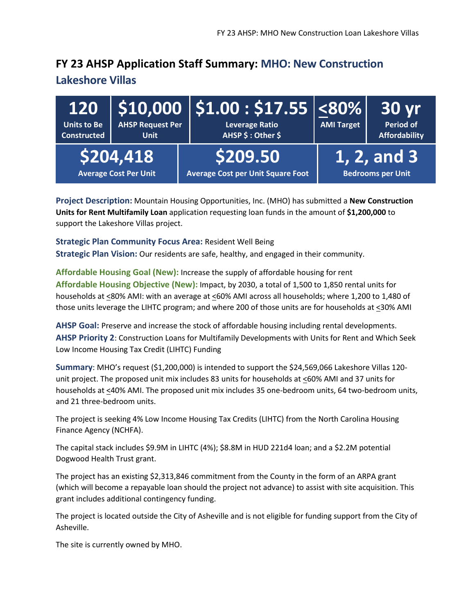### **FY 23 AHSP Application Staff Summary: MHO: New Construction**

#### **Lakeshore Villas**

| <b>Units to Be</b><br><b>Constructed</b> | <b>AHSP Request Per</b><br><b>Unit</b>    | $\mid$ 120 $\mid$ \$10,000 $\mid$ \$1.00 : \$17.55 $\mid$ <80% $\mid$<br><b>Leverage Ratio</b><br>AHSP \$ : Other \$ | <b>AMI Target</b> | <b>30 yr</b><br><b>Period of</b><br><b>Affordability</b> |
|------------------------------------------|-------------------------------------------|----------------------------------------------------------------------------------------------------------------------|-------------------|----------------------------------------------------------|
|                                          | \$204,418<br><b>Average Cost Per Unit</b> | \$209.50<br><b>Average Cost per Unit Square Foot</b>                                                                 |                   | 1, 2, and 3<br><b>Bedrooms per Unit</b>                  |

**Project Description:** Mountain Housing Opportunities, Inc. (MHO) has submitted a **New Construction Units for Rent Multifamily Loan** application requesting loan funds in the amount of **\$1,200,000** to support the Lakeshore Villas project.

**Strategic Plan Community Focus Area:** Resident Well Being **Strategic Plan Vision:** Our residents are safe, healthy, and engaged in their community.

**Affordable Housing Goal (New):** Increase the supply of affordable housing for rent **Affordable Housing Objective (New):** Impact, by 2030, a total of 1,500 to 1,850 rental units for households at <80% AMI: with an average at <60% AMI across all households; where 1,200 to 1,480 of those units leverage the LIHTC program; and where 200 of those units are for households at <30% AMI

**AHSP Goal:** Preserve and increase the stock of affordable housing including rental developments. **AHSP Priority 2**: Construction Loans for Multifamily Developments with Units for Rent and Which Seek Low Income Housing Tax Credit (LIHTC) Funding

**Summary**: MHO's request (\$1,200,000) is intended to support the \$24,569,066 Lakeshore Villas 120 unit project. The proposed unit mix includes 83 units for households at  $\leq$  60% AMI and 37 units for households at <40% AMI. The proposed unit mix includes 35 one-bedroom units, 64 two-bedroom units, and 21 three-bedroom units.

The project is seeking 4% Low Income Housing Tax Credits (LIHTC) from the North Carolina Housing Finance Agency (NCHFA).

The capital stack includes \$9.9M in LIHTC (4%); \$8.8M in HUD 221d4 loan; and a \$2.2M potential Dogwood Health Trust grant.

The project has an existing \$2,313,846 commitment from the County in the form of an ARPA grant (which will become a repayable loan should the project not advance) to assist with site acquisition. This grant includes additional contingency funding.

The project is located outside the City of Asheville and is not eligible for funding support from the City of Asheville.

The site is currently owned by MHO.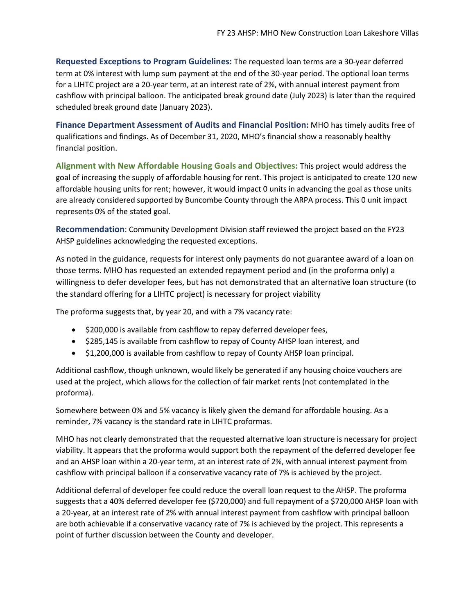**Requested Exceptions to Program Guidelines:** The requested loan terms are a 30-year deferred term at 0% interest with lump sum payment at the end of the 30-year period. The optional loan terms for a LIHTC project are a 20-year term, at an interest rate of 2%, with annual interest payment from cashflow with principal balloon. The anticipated break ground date (July 2023) is later than the required scheduled break ground date (January 2023).

**Finance Department Assessment of Audits and Financial Position:** MHO has timely audits free of qualifications and findings. As of December 31, 2020, MHO's financial show a reasonably healthy financial position.

**Alignment with New Affordable Housing Goals and Objectives:** This project would address the goal of increasing the supply of affordable housing for rent. This project is anticipated to create 120 new affordable housing units for rent; however, it would impact 0 units in advancing the goal as those units are already considered supported by Buncombe County through the ARPA process. This 0 unit impact represents 0% of the stated goal.

**Recommendation**: Community Development Division staff reviewed the project based on the FY23 AHSP guidelines acknowledging the requested exceptions.

As noted in the guidance, requests for interest only payments do not guarantee award of a loan on those terms. MHO has requested an extended repayment period and (in the proforma only) a willingness to defer developer fees, but has not demonstrated that an alternative loan structure (to the standard offering for a LIHTC project) is necessary for project viability

The proforma suggests that, by year 20, and with a 7% vacancy rate:

- \$200,000 is available from cashflow to repay deferred developer fees,
- \$285,145 is available from cashflow to repay of County AHSP loan interest, and
- \$1,200,000 is available from cashflow to repay of County AHSP loan principal.

Additional cashflow, though unknown, would likely be generated if any housing choice vouchers are used at the project, which allows for the collection of fair market rents (not contemplated in the proforma).

Somewhere between 0% and 5% vacancy is likely given the demand for affordable housing. As a reminder, 7% vacancy is the standard rate in LIHTC proformas.

MHO has not clearly demonstrated that the requested alternative loan structure is necessary for project viability. It appears that the proforma would support both the repayment of the deferred developer fee and an AHSP loan within a 20-year term, at an interest rate of 2%, with annual interest payment from cashflow with principal balloon if a conservative vacancy rate of 7% is achieved by the project.

Additional deferral of developer fee could reduce the overall loan request to the AHSP. The proforma suggests that a 40% deferred developer fee (\$720,000) and full repayment of a \$720,000 AHSP loan with a 20-year, at an interest rate of 2% with annual interest payment from cashflow with principal balloon are both achievable if a conservative vacancy rate of 7% is achieved by the project. This represents a point of further discussion between the County and developer.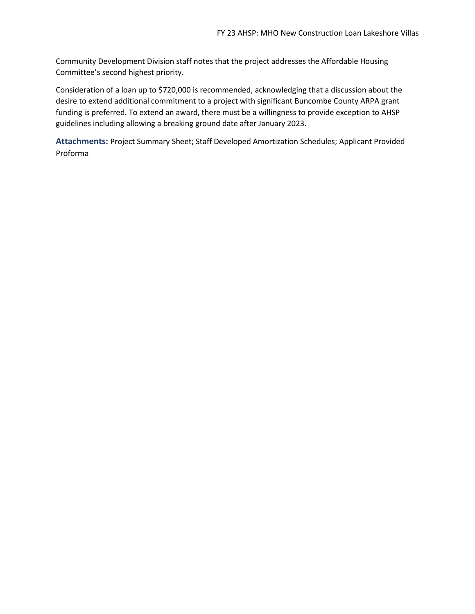Community Development Division staff notes that the project addresses the Affordable Housing Committee's second highest priority.

Consideration of a loan up to \$720,000 is recommended, acknowledging that a discussion about the desire to extend additional commitment to a project with significant Buncombe County ARPA grant funding is preferred. To extend an award, there must be a willingness to provide exception to AHSP guidelines including allowing a breaking ground date after January 2023.

**Attachments:** Project Summary Sheet; Staff Developed Amortization Schedules; Applicant Provided Proforma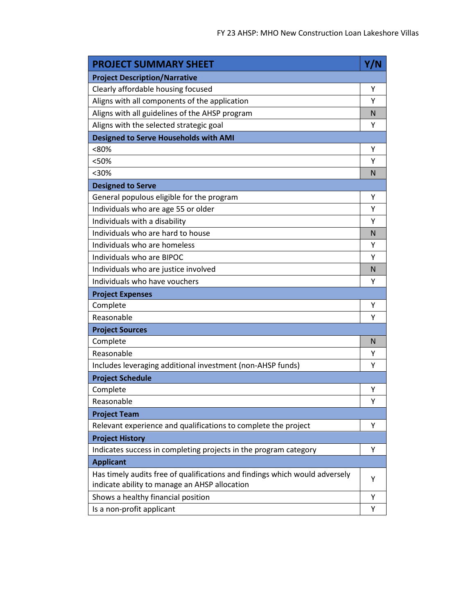| <b>PROJECT SUMMARY SHEET</b>                                                                                                 | Y/N |
|------------------------------------------------------------------------------------------------------------------------------|-----|
| <b>Project Description/Narrative</b>                                                                                         |     |
| Clearly affordable housing focused                                                                                           | Υ   |
| Aligns with all components of the application                                                                                | Υ   |
| Aligns with all guidelines of the AHSP program                                                                               | N   |
| Aligns with the selected strategic goal                                                                                      | Υ   |
| <b>Designed to Serve Households with AMI</b>                                                                                 |     |
| <80%                                                                                                                         | Υ   |
| <50%                                                                                                                         | Υ   |
| $<$ 30%                                                                                                                      | N   |
| <b>Designed to Serve</b>                                                                                                     |     |
| General populous eligible for the program                                                                                    | Υ   |
| Individuals who are age 55 or older                                                                                          | Υ   |
| Individuals with a disability                                                                                                | Υ   |
| Individuals who are hard to house                                                                                            | N   |
| Individuals who are homeless                                                                                                 | Υ   |
| Individuals who are BIPOC                                                                                                    | Υ   |
| Individuals who are justice involved                                                                                         | N   |
| Individuals who have vouchers                                                                                                | Υ   |
| <b>Project Expenses</b>                                                                                                      |     |
| Complete                                                                                                                     | Υ   |
| Reasonable                                                                                                                   | Υ   |
| <b>Project Sources</b>                                                                                                       |     |
| Complete                                                                                                                     | N   |
| Reasonable                                                                                                                   | Υ   |
| Includes leveraging additional investment (non-AHSP funds)                                                                   | Υ   |
| <b>Project Schedule</b>                                                                                                      |     |
| Complete                                                                                                                     | Υ   |
| Reasonable                                                                                                                   | Υ   |
| <b>Project Team</b>                                                                                                          |     |
| Relevant experience and qualifications to complete the project                                                               | Υ   |
| <b>Project History</b>                                                                                                       |     |
| Indicates success in completing projects in the program category                                                             | Υ   |
| <b>Applicant</b>                                                                                                             |     |
| Has timely audits free of qualifications and findings which would adversely<br>indicate ability to manage an AHSP allocation | Υ   |
| Shows a healthy financial position                                                                                           | Y   |
| Is a non-profit applicant                                                                                                    | Υ   |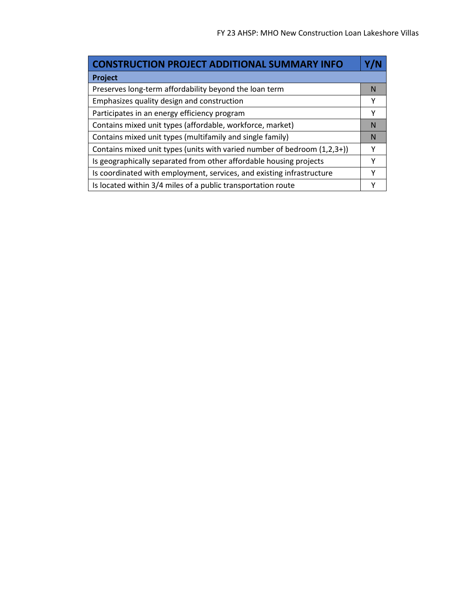÷

| <b>CONSTRUCTION PROJECT ADDITIONAL SUMMARY INFO</b>                      |   |
|--------------------------------------------------------------------------|---|
| Project                                                                  |   |
| Preserves long-term affordability beyond the loan term                   | N |
| Emphasizes quality design and construction                               | Υ |
| Participates in an energy efficiency program                             | Υ |
| Contains mixed unit types (affordable, workforce, market)                | N |
| Contains mixed unit types (multifamily and single family)                | N |
| Contains mixed unit types (units with varied number of bedroom (1,2,3+)) | Υ |
| Is geographically separated from other affordable housing projects       | γ |
| Is coordinated with employment, services, and existing infrastructure    | Υ |
| Is located within 3/4 miles of a public transportation route             |   |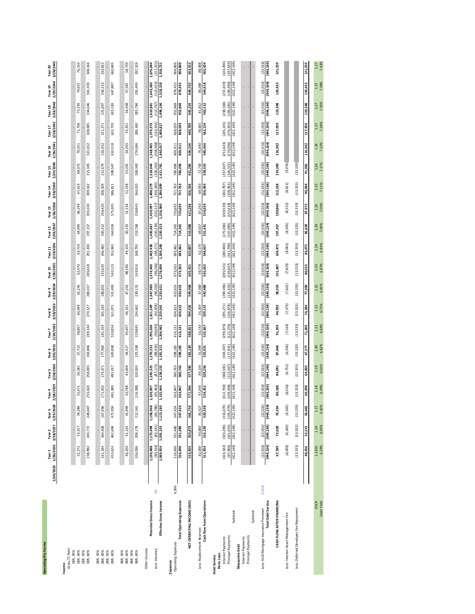| <b>Operating Pro Forma</b>                                           | 2/28/2025 2/28/2026 2/28/2027 2/29/2028 | Year <sub>1</sub>       | Year <sub>2</sub>        | Year <sub>3</sub>             | 2/28/2029<br>Year 4      | 2/28/2030<br>Year <sub>5</sub> | 2/28/2031<br>Year 6      | 2/29/2032<br>Year 7      | 2/28/2033<br>Year 8      | 2/28/2034<br>Year 9      | 2/28/2035<br>Year 10     | 2/29/2036<br>Year 11   | 2/28/2037<br>Year 12    | 2/28/2038<br>Year 13     | 2/28/2039<br>Year 14     | 2/29/2040<br>Year 15     | 2/28/2041<br>Year 16    | 2/28/2042<br>Year <sub>17</sub> | 2/28/2043<br>Year 18    | 2/29/2044<br>Year 19     | 2/28/2045<br>Year 20     |
|----------------------------------------------------------------------|-----------------------------------------|-------------------------|--------------------------|-------------------------------|--------------------------|--------------------------------|--------------------------|--------------------------|--------------------------|--------------------------|--------------------------|------------------------|-------------------------|--------------------------|--------------------------|--------------------------|-------------------------|---------------------------------|-------------------------|--------------------------|--------------------------|
| Gross TC Rent<br>1BR, 30%<br>Income                                  |                                         |                         |                          |                               |                          |                                |                          |                          |                          |                          |                          |                        |                         |                          |                          |                          |                         |                                 |                         |                          |                          |
| 1BR, 40%                                                             |                                         | 52,272                  | 53,317                   | 54,384                        | 55,471                   | 56,581                         | 57,713                   | 58,867                   | 60,044                   | 61,245                   | 62,470                   | 63,719                 | 64,994                  | 66,294                   | 67,619                   | 68,972                   | 70,351                  | 71,758                          | 73,193                  | 74,657                   | 76,150                   |
| 1BR, 50%                                                             |                                         |                         |                          |                               |                          |                                |                          |                          |                          |                          |                          |                        |                         |                          |                          |                          |                         |                                 |                         |                          |                          |
| 1BR, 60%                                                             |                                         | 238,992                 | 243,772                  | 248,647                       | 253,620                  | 258,693                        | 263,866                  | 269,144                  | 274,527                  | 280,017                  | 285,618                  | 291,330                | 297,157                 | 303,100                  | 309,162                  | 315,345                  | 321,652                 | 328,085                         | 334,646                 | 341,339                  | 348,166                  |
| 2BR, 30%                                                             |                                         | Ŷ,                      |                          |                               |                          |                                |                          |                          |                          |                          |                          |                        |                         |                          |                          |                          |                         |                                 |                         |                          |                          |
| 2BR, 50%<br>2BR, 40%                                                 |                                         | 161,184                 | 164,408                  | 167,696                       | 171,050                  | 174,471                        | 177,960                  | 181,519                  | 185,150                  | 188,853                  | 192,630                  | 196,482                | 200,412                 | 204,420                  | 208,509                  | 212,679                  | 216,932                 | 221,271                         | 225,697                 | 230,210                  | 234,815                  |
| 2BR, 60%                                                             |                                         | 453,624                 | 462,696                  | 471,950                       | 481,389                  | 491,017                        | 500,838                  | 510,854                  | 521,071                  | 531,493                  | 542,123                  | 552,965                | 564,024                 | 575,305                  | 586,811                  | 598,547                  | 610,518                 | 622,729                         | 635,183                 | 647,887                  | 660,845                  |
| 3BR, 30%                                                             |                                         | ł,                      |                          |                               |                          |                                |                          |                          |                          |                          |                          |                        |                         |                          |                          |                          |                         |                                 |                         |                          |                          |
| 3BR, 40%                                                             |                                         | 40,320                  | 41,126                   | 41,949                        | 42,788                   | 43,644                         | 44,517                   | 45,407                   | 46,315                   | 47,241                   | 48,186                   | 49,150                 | 50,133                  | 51,136                   | 52,158                   | 53,201                   | 54,265                  | 55,351                          | 56,458                  | 57,587                   | 58,739                   |
| 3BR, 50%<br>3BR, 60%                                                 |                                         | 204,096                 | 208,178                  | 212,341                       | 216,588                  | 220,920                        | 225,338                  | 229,845                  | 234,442                  | 239,131                  | 243,914                  | 248,792                | 253,768                 | 258,843                  | 264,020                  | 269,300                  | 274,686                 | 280,180                         | 285,784                 | 291,499                  | 297,329                  |
|                                                                      |                                         |                         |                          |                               |                          |                                |                          |                          |                          |                          |                          |                        |                         |                          |                          |                          |                         |                                 |                         |                          |                          |
| Other Income                                                         |                                         |                         |                          |                               |                          |                                |                          |                          |                          |                          |                          |                        |                         |                          |                          |                          |                         |                                 |                         |                          |                          |
| Potential Gross Income<br>Less: Vacancy                              | X                                       | 1,150,488<br>(80, 534)  | 1,173,498<br>(82, 145)   | (83, 788)<br>1,196,968        | 1,220,907<br>(85, 463)   | 1,245,325<br>(87, 173)         | 1,270,232<br>(88, 916)   | 1,295,636<br>(90, 695)   | 1,321,549<br>(92, 508)   | 1,347,980<br>(94, 359)   | 1,374,940<br>(96, 246)   | 1,402,438<br>(98, 171) | (100, 134)<br>1,430,487 | (102, 137)<br>1,459,097  | 1,488,279<br>(104, 180)  | 1,518,044<br>(106, 263)  | 1,548,405<br>(108, 388) | 1,579,373<br>(110, 556)         | 1,610,961<br>(112, 767) | 1,643,180<br>(115, 023)  | 1,676,044<br>(117, 323)  |
| Effective Gross Income                                               |                                         | 1,069,954               | 1,091,353                | 1,113,180                     | 1,135,444                | 1,158,152                      | 1,181,315                | 1,204,942                | 1,229,041                | 1,253,621                | 1,278,694                | 1,304,268              | 1,330,353               | 1,356,960                | 1,384,099                | 1,411,781                | 1,440,017               | 1,468,817                       | 1,498,194               | 1,528,158                | 1,558,721                |
| Operating Expenses<br>Expenses                                       | 4,300                                   | 516,000                 | 531,480                  | 547,424                       | 563,847                  | 580,763                        | 598,185                  | 616,131                  | 634,615                  | 653,653                  | 673,263                  | 693,461                | 714,265                 | 735,693                  | 757,763                  | 780,496                  | 803,911                 | 828,029                         | 852,869                 | 878,455                  | 904,809                  |
| <b>Total Operating Expenses</b>                                      |                                         | 516,000                 | 531,480                  | 547,424                       | 563,847                  | 580,763                        | 598,185                  | 616,131                  | 634,615                  | 653,653                  | 673,263                  | 693,461                | 714,265                 | 735,693                  | 757,763                  | 780,496                  | 803,911                 | 828,029                         | 852,869                 | 878,455                  | 904,809                  |
| <b>VET OPERATING INCOME (NOI)</b>                                    |                                         | 553,954                 | 559,873                  | 565,756                       | 571,596                  | 577,390                        | 583,130                  | 588,811                  | 594,426                  | 599,968                  | 605,431                  | 610,807                | 616,088                 | 621,268                  | 626,336                  | 631,285                  | 636,106                 | 640,789                         | 645,324                 | 649,702                  | 653,912                  |
|                                                                      |                                         |                         |                          |                               |                          |                                |                          |                          |                          |                          |                          |                        |                         |                          |                          |                          |                         |                                 |                         |                          |                          |
| Less: Replacement Reserves                                           |                                         | 42,000                  | 43,680                   | 45,427                        | 47,244                   | 49,134                         | 51,099                   | 53,143                   | 55,269                   | 57,480                   | 59,779                   | 62,170                 | 64,657                  | 67,243                   | 69,933                   | 72,730                   | 75,640                  | 78,665                          | 81,812                  | 85,084                   | 88,488                   |
| Cash flow from Operations                                            |                                         | 511,954                 | 516,193                  | 520,328                       | 524,352                  | 528,256                        | 532,031                  | 535,667                  | 539,157                  | 542,488                  | 545,652                  | 548,637                | 551,431                 | 554,024                  | 556,403                  | 558,555                  | 560,466                 | 562,124                         | 563,512                 | 564,618                  | 565,424                  |
| Principal Payments<br>Interest Payments<br>Perm Loan<br>Debt Service |                                         | (324, 182)<br>(97, 966) | (320, 496)<br>(101, 653) | $(316, 670)$<br>$(105, 479)$  | (312, 700)<br>(109, 448) | (308, 581)<br>(113, 567)       | (304, 307)<br>(117, 841) | (299, 873)<br>(122, 276) | (295, 271)<br>(126, 878) | (290, 496)<br>(131, 653) | (285, 541)<br>(136, 607) | (280,400)<br>(141,748) | (275,066)<br>(147, 083) | (269, 530)<br>(152, 618) | (263, 787)<br>(158, 362) | (257, 827)<br>(164, 322) | (251, 643)<br>(170,506) | (245, 226)<br>(176, 923)        | (238,568)<br>(183, 581) | (231, 659)<br>(190, 490) | (224, 490)<br>(197, 659) |
| Subtotal                                                             |                                         | (422, 149)              | (422, 149)               | (422, 149)                    | (422, 149)               | (422, 149)                     | (422, 149)               | (422, 149)               | (422, 149)               | (422, 149)               | (422, 149)               | (422, 149)             | (422, 149)              | (422, 149)               | (422, 149)               | (422, 149)               | (422, 149)              | (422, 149)                      | (422, 149)              | (422, 149)               | (422, 149)               |
| Interest Payments<br><b>Mezzanine Debt</b>                           |                                         |                         |                          |                               |                          |                                |                          |                          |                          |                          |                          |                        |                         |                          |                          |                          |                         |                                 |                         |                          |                          |
| Subtotal<br>Principal Payments                                       |                                         |                         |                          |                               | J.                       |                                |                          |                          |                          |                          |                          |                        |                         |                          | ı,                       | ı,                       |                         |                                 |                         |                          |                          |
|                                                                      |                                         |                         |                          |                               |                          |                                |                          |                          |                          |                          |                          |                        |                         |                          |                          |                          |                         |                                 |                         |                          |                          |
| <b>Total Debt Service</b><br>Less: HUD Mortgage Insurance Premium    | 0.25%                                   | (22, 016)<br>(444, 164) | (22, 016)<br>(444, 164)  | ίgι<br>(444, 164)<br>(22, 01) | (22, 016)<br>(444, 164)  | (22, 016)<br>(444,164)         | (22, 016)<br>(444, 164)  | (444, 164)<br>(22, 016)  | (444, 164)<br>(22, 016)  | (22, 016)<br>(444, 164)  | (22, 016)<br>(444, 164)  | (444,164)<br>(22, 016) | (444, 164)<br>(22, 016) | (22, 016)<br>(444,164)   | (444, 164)<br>(22, 016)  | (22, 016)<br>(444, 164)  | (22, 016)<br>(444,164)  | (444, 164)<br>(22, 016)         | (22, 016)<br>(444,164)  | (22, 016)<br>(444, 164)  | (22, 016)<br>(444,164)   |
| CASH FLOW AFTER FINANCING                                            |                                         | 67,789                  | 72,028                   | 76,164                        | 80,188                   | 84,091                         | 87,866                   | 91,503                   | 94,992                   | 98,324                   | 101,487                  | 104,472                | 107,267                 | 109,860                  | 112,238                  | 114,390                  | 116,302                 | 117,959                         | 119,348                 | 120,453                  | 121,259                  |
| Less: Investor Asset Management Fee                                  |                                         | (6,000)                 | (6, 180)                 | (6, 365)                      | (6, 556)                 | (6,753)                        | (6, 956)                 | (7, 164)                 | (7, 379)                 | (7,601)                  | (7, 829)                 | (8,063)                | (8,305)                 | (8, 555)                 | (8, 811)                 | (9,076)                  |                         |                                 |                         |                          |                          |
| Less: Deferred Developer Fee Repayment                               |                                         | (13, 333)               | (13, 333)                | (13, 333)                     | (13, 333)                | (13, 333)                      | (13, 333)                | (13, 333)                | (13, 333)                | (13, 333)                | (13, 333)                | (13, 333)              | (13, 333)               | (13, 333)                | (13, 333)                | (13, 333)                |                         |                                 |                         |                          |                          |
|                                                                      |                                         | 48,456                  | 52,515                   | 56,465                        | 60,298                   | 64,005                         | 67,577                   | 71,005                   | 74,280                   | 77,390                   | 80,325                   | 83,075                 | 85,628                  | 87,972                   | 90,094                   | 91,981                   | 116,302                 | 117,959                         | 119,348                 | 120,453                  | 121,259                  |
| <b>DSCR</b>                                                          |                                         | 1.1526                  | $1.16$                   | 1.17                          |                          |                                |                          | $1.21\,$                 | 1.21                     |                          | $1.23$                   |                        |                         | $1.25$                   |                          | 1.26                     | 1.26                    | $1.27\,$                        | 1.27                    | 1.27                     | $1.27$                   |
| Debt Yield                                                           |                                         | 6.29%                   | 6.36%                    | 6.42%                         | $1.18$<br>6.49%          | $1.19$<br>$6.56%$              | $1.20$<br>$6.62%$        | 6.69%                    | 6.75%                    | $1.22$<br>$6.81%$        | 6.87%                    | $1.24$<br>$6.94\%$     | 1.24<br>7.00%           | 7.05%                    | $1.25$<br>7.11%          | 7.17%                    | 7.22%                   | 7.28%                           | 7.33%                   | 7.38%                    | 7.43%                    |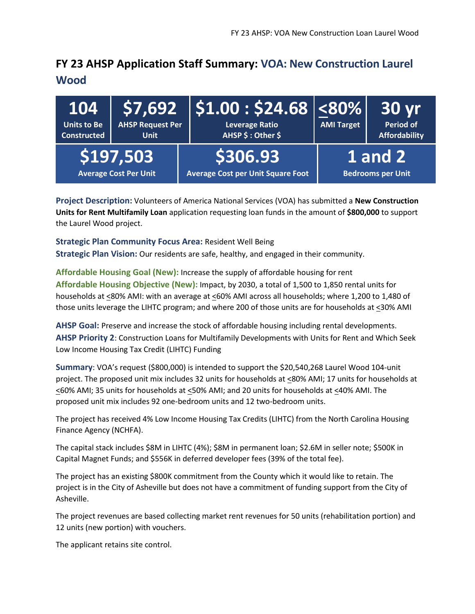#### **FY 23 AHSP Application Staff Summary: VOA: New Construction Laurel Wood**

| 104<br><b>Units to Be</b><br><b>Constructed</b> | <b>AHSP Request Per</b><br><b>Unit</b>    | $\mid$ \$7,692 $\mid$ \$1.00 : \$24.68 $\mid$ <80% $\mid$<br><b>Leverage Ratio</b><br>AHSP \$: Other \$ | <b>AMI Target</b> | <b>30 yr</b><br><b>Period of</b><br><b>Affordability</b> |
|-------------------------------------------------|-------------------------------------------|---------------------------------------------------------------------------------------------------------|-------------------|----------------------------------------------------------|
|                                                 | \$197,503<br><b>Average Cost Per Unit</b> | \$306.93<br><b>Average Cost per Unit Square Foot</b>                                                    |                   | <b>1</b> and 2<br><b>Bedrooms per Unit</b>               |

**Project Description:** Volunteers of America National Services (VOA) has submitted a **New Construction Units for Rent Multifamily Loan** application requesting loan funds in the amount of **\$800,000** to support the Laurel Wood project.

**Strategic Plan Community Focus Area:** Resident Well Being **Strategic Plan Vision:** Our residents are safe, healthy, and engaged in their community.

**Affordable Housing Goal (New):** Increase the supply of affordable housing for rent **Affordable Housing Objective (New):** Impact, by 2030, a total of 1,500 to 1,850 rental units for households at <80% AMI: with an average at <60% AMI across all households; where 1,200 to 1,480 of those units leverage the LIHTC program; and where 200 of those units are for households at <30% AMI

**AHSP Goal:** Preserve and increase the stock of affordable housing including rental developments. **AHSP Priority 2**: Construction Loans for Multifamily Developments with Units for Rent and Which Seek Low Income Housing Tax Credit (LIHTC) Funding

**Summary**: VOA's request (\$800,000) is intended to support the \$20,540,268 Laurel Wood 104-unit project. The proposed unit mix includes 32 units for households at <80% AMI; 17 units for households at <60% AMI; 35 units for households at <50% AMI; and 20 units for households at <40% AMI. The proposed unit mix includes 92 one-bedroom units and 12 two-bedroom units.

The project has received 4% Low Income Housing Tax Credits (LIHTC) from the North Carolina Housing Finance Agency (NCHFA).

The capital stack includes \$8M in LIHTC (4%); \$8M in permanent loan; \$2.6M in seller note; \$500K in Capital Magnet Funds; and \$556K in deferred developer fees (39% of the total fee).

The project has an existing \$800K commitment from the County which it would like to retain. The project is in the City of Asheville but does not have a commitment of funding support from the City of Asheville.

The project revenues are based collecting market rent revenues for 50 units (rehabilitation portion) and 12 units (new portion) with vouchers.

The applicant retains site control.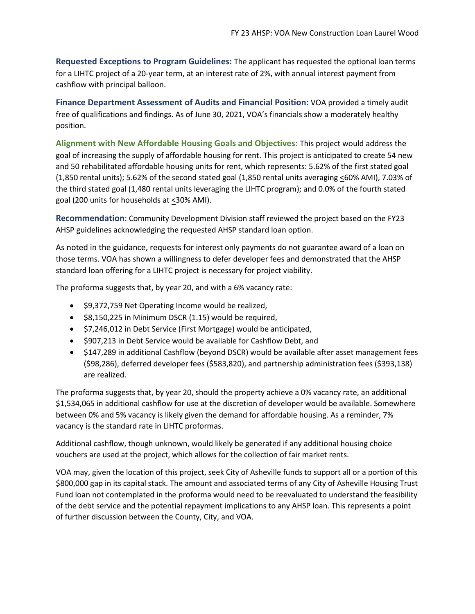**Requested Exceptions to Program Guidelines:** The applicant has requested the optional loan terms for a LIHTC project of a 20-year term, at an interest rate of 2%, with annual interest payment from cashflow with principal balloon.

**Finance Department Assessment of Audits and Financial Position:** VOA provided a timely audit free of qualifications and findings. As of June 30, 2021, VOA's financials show a moderately healthy position.

**Alignment with New Affordable Housing Goals and Objectives:** This project would address the goal of increasing the supply of affordable housing for rent. This project is anticipated to create 54 new and 50 rehabilitated affordable housing units for rent, which represents: 5.62% of the first stated goal (1,850 rental units); 5.62% of the second stated goal (1,850 rental units averaging <60% AMI), 7.03% of the third stated goal (1,480 rental units leveraging the LIHTC program); and 0.0% of the fourth stated goal (200 units for households at <30% AMI).

**Recommendation**: Community Development Division staff reviewed the project based on the FY23 AHSP guidelines acknowledging the requested AHSP standard loan option.

As noted in the guidance, requests for interest only payments do not guarantee award of a loan on those terms. VOA has shown a willingness to defer developer fees and demonstrated that the AHSP standard loan offering for a LIHTC project is necessary for project viability.

The proforma suggests that, by year 20, and with a 6% vacancy rate:

- \$9,372,759 Net Operating Income would be realized,
- \$8,150,225 in Minimum DSCR (1.15) would be required,
- \$7,246,012 in Debt Service (First Mortgage) would be anticipated,
- \$907,213 in Debt Service would be available for Cashflow Debt, and
- \$147,289 in additional Cashflow (beyond DSCR) would be available after asset management fees (\$98,286), deferred developer fees (\$583,820), and partnership administration fees (\$393,138) are realized.

The proforma suggests that, by year 20, should the property achieve a 0% vacancy rate, an additional \$1,534,065 in additional cashflow for use at the discretion of developer would be available. Somewhere between 0% and 5% vacancy is likely given the demand for affordable housing. As a reminder, 7% vacancy is the standard rate in LIHTC proformas.

Additional cashflow, though unknown, would likely be generated if any additional housing choice vouchers are used at the project, which allows for the collection of fair market rents.

VOA may, given the location of this project, seek City of Asheville funds to support all or a portion of this \$800,000 gap in its capital stack. The amount and associated terms of any City of Asheville Housing Trust Fund loan not contemplated in the proforma would need to be reevaluated to understand the feasibility of the debt service and the potential repayment implications to any AHSP loan. This represents a point of further discussion between the County, City, and VOA.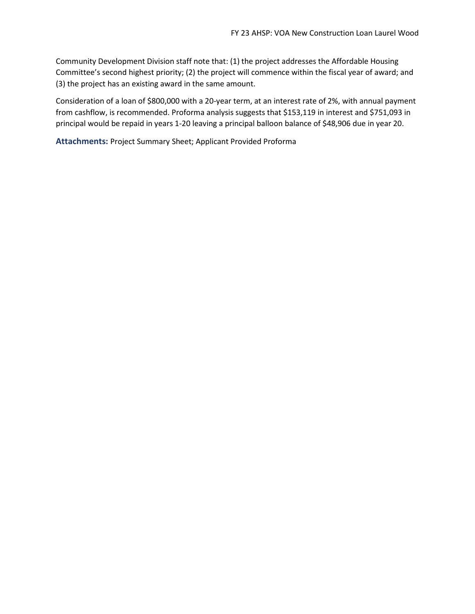Community Development Division staff note that: (1) the project addresses the Affordable Housing Committee's second highest priority; (2) the project will commence within the fiscal year of award; and (3) the project has an existing award in the same amount.

Consideration of a loan of \$800,000 with a 20-year term, at an interest rate of 2%, with annual payment from cashflow, is recommended. Proforma analysis suggests that \$153,119 in interest and \$751,093 in principal would be repaid in years 1-20 leaving a principal balloon balance of \$48,906 due in year 20.

**Attachments:** Project Summary Sheet; Applicant Provided Proforma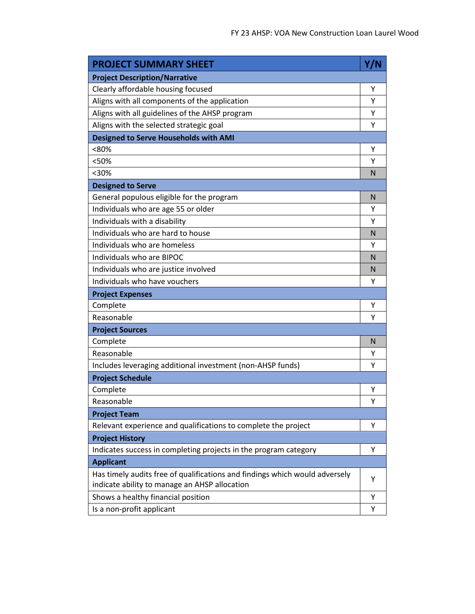| <b>PROJECT SUMMARY SHEET</b>                                                                                                 | Y/N |
|------------------------------------------------------------------------------------------------------------------------------|-----|
| <b>Project Description/Narrative</b>                                                                                         |     |
| Clearly affordable housing focused                                                                                           | Υ   |
| Aligns with all components of the application                                                                                | Υ   |
| Aligns with all guidelines of the AHSP program                                                                               | Υ   |
| Aligns with the selected strategic goal                                                                                      | Υ   |
| <b>Designed to Serve Households with AMI</b>                                                                                 |     |
| <80%                                                                                                                         | Υ   |
| <50%                                                                                                                         | Υ   |
| $30%$                                                                                                                        | N   |
| <b>Designed to Serve</b>                                                                                                     |     |
| General populous eligible for the program                                                                                    | N   |
| Individuals who are age 55 or older                                                                                          | Υ   |
| Individuals with a disability                                                                                                | Y   |
| Individuals who are hard to house                                                                                            | N   |
| Individuals who are homeless                                                                                                 | Υ   |
| Individuals who are BIPOC                                                                                                    | N   |
| Individuals who are justice involved                                                                                         | N   |
| Individuals who have vouchers                                                                                                | Υ   |
| <b>Project Expenses</b>                                                                                                      |     |
| Complete                                                                                                                     | Υ   |
| Reasonable                                                                                                                   | Υ   |
| <b>Project Sources</b>                                                                                                       |     |
| Complete                                                                                                                     | N   |
| Reasonable                                                                                                                   | Υ   |
| Includes leveraging additional investment (non-AHSP funds)                                                                   | Υ   |
| <b>Project Schedule</b>                                                                                                      |     |
| Complete                                                                                                                     | Υ   |
| Reasonable                                                                                                                   | Υ   |
| <b>Project Team</b>                                                                                                          |     |
| Relevant experience and qualifications to complete the project                                                               | Υ   |
| <b>Project History</b>                                                                                                       |     |
| Indicates success in completing projects in the program category                                                             | Y   |
| <b>Applicant</b>                                                                                                             |     |
| Has timely audits free of qualifications and findings which would adversely<br>indicate ability to manage an AHSP allocation | Υ   |
| Shows a healthy financial position                                                                                           | Υ   |
| Is a non-profit applicant                                                                                                    | Υ   |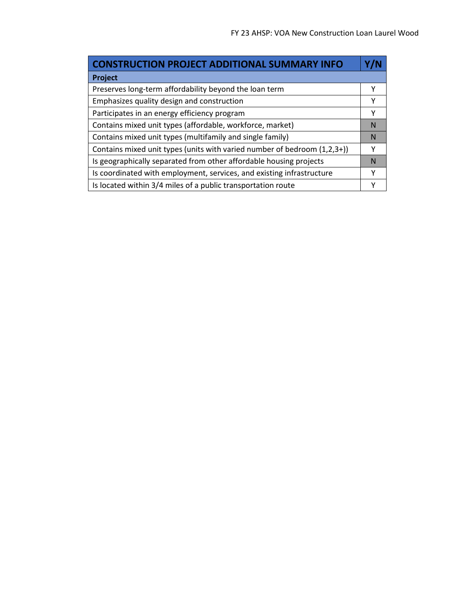÷

| <b>CONSTRUCTION PROJECT ADDITIONAL SUMMARY INFO</b>                      |   |
|--------------------------------------------------------------------------|---|
| Project                                                                  |   |
| Preserves long-term affordability beyond the loan term                   |   |
| Emphasizes quality design and construction                               | Υ |
| Participates in an energy efficiency program                             | Υ |
| Contains mixed unit types (affordable, workforce, market)                | N |
| Contains mixed unit types (multifamily and single family)                | N |
| Contains mixed unit types (units with varied number of bedroom (1,2,3+)) | Υ |
| Is geographically separated from other affordable housing projects       | N |
| Is coordinated with employment, services, and existing infrastructure    | Υ |
| Is located within 3/4 miles of a public transportation route             |   |